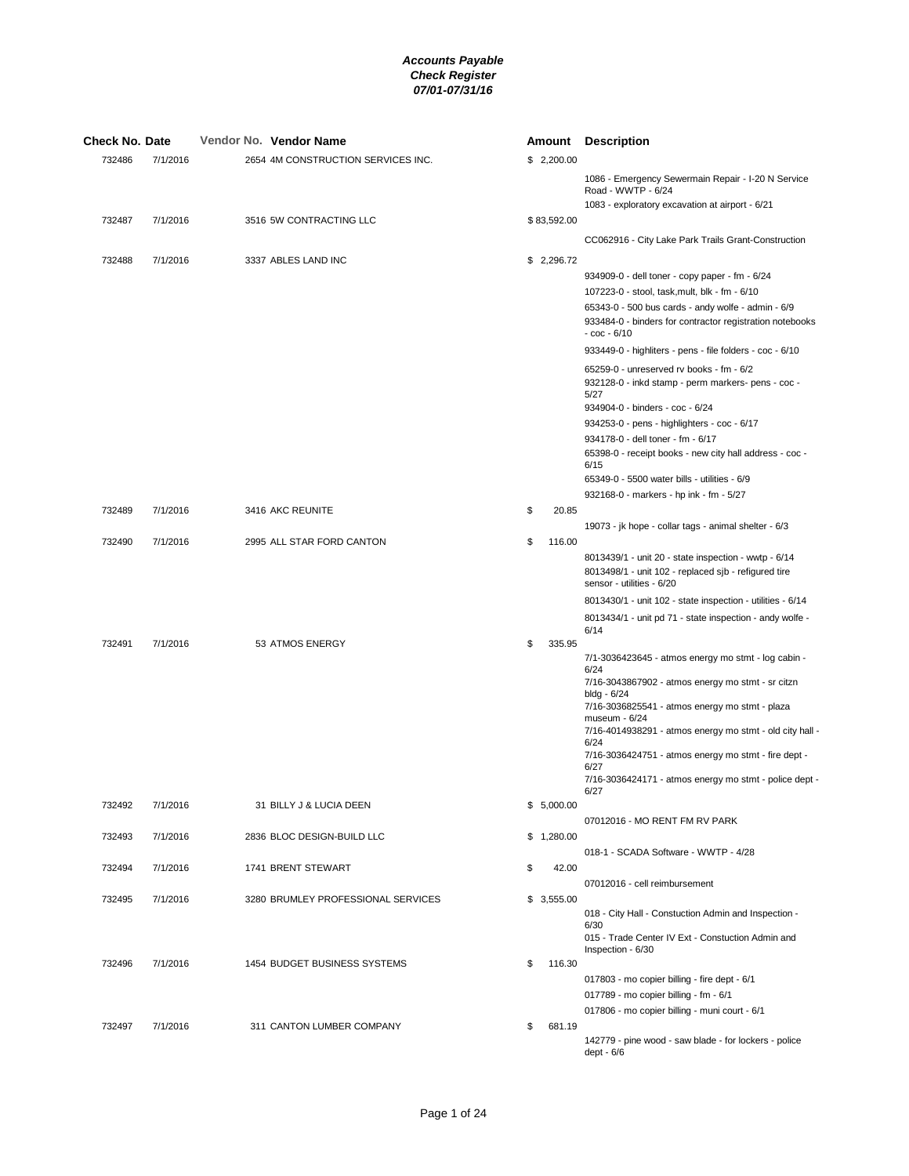| <b>Check No. Date</b> |          | Vendor No. Vendor Name             |    |             | <b>Amount</b> Description                                                                                                                 |
|-----------------------|----------|------------------------------------|----|-------------|-------------------------------------------------------------------------------------------------------------------------------------------|
| 732486                | 7/1/2016 | 2654 4M CONSTRUCTION SERVICES INC. |    | \$2,200.00  |                                                                                                                                           |
|                       |          |                                    |    |             | 1086 - Emergency Sewermain Repair - I-20 N Service<br>Road - WWTP - 6/24                                                                  |
|                       |          |                                    |    |             | 1083 - exploratory excavation at airport - 6/21                                                                                           |
| 732487                | 7/1/2016 | 3516 5W CONTRACTING LLC            |    | \$83,592.00 |                                                                                                                                           |
|                       |          |                                    |    |             | CC062916 - City Lake Park Trails Grant-Construction                                                                                       |
| 732488                | 7/1/2016 | 3337 ABLES LAND INC                |    | \$2,296.72  |                                                                                                                                           |
|                       |          |                                    |    |             | 934909-0 - dell toner - copy paper - fm - 6/24                                                                                            |
|                       |          |                                    |    |             | 107223-0 - stool, task, mult, blk - fm - 6/10                                                                                             |
|                       |          |                                    |    |             | 65343-0 - 500 bus cards - andy wolfe - admin - 6/9<br>933484-0 - binders for contractor registration notebooks<br>$-$ coc $-$ 6/10        |
|                       |          |                                    |    |             | 933449-0 - highliters - pens - file folders - coc - 6/10                                                                                  |
|                       |          |                                    |    |             | 65259-0 - unreserved rv books - fm - 6/2<br>932128-0 - inkd stamp - perm markers- pens - coc -<br>5/27<br>934904-0 - binders - coc - 6/24 |
|                       |          |                                    |    |             | 934253-0 - pens - highlighters - coc - 6/17                                                                                               |
|                       |          |                                    |    |             | 934178-0 - dell toner - fm - 6/17                                                                                                         |
|                       |          |                                    |    |             | 65398-0 - receipt books - new city hall address - coc -<br>6/15                                                                           |
|                       |          |                                    |    |             | 65349-0 - 5500 water bills - utilities - 6/9                                                                                              |
|                       |          |                                    |    |             | 932168-0 - markers - hp ink - fm - 5/27                                                                                                   |
| 732489                | 7/1/2016 | 3416 AKC REUNITE                   | \$ | 20.85       |                                                                                                                                           |
|                       |          |                                    |    |             | 19073 - jk hope - collar tags - animal shelter - 6/3                                                                                      |
| 732490                | 7/1/2016 | 2995 ALL STAR FORD CANTON          | \$ | 116.00      | 8013439/1 - unit 20 - state inspection - wwtp - 6/14<br>8013498/1 - unit 102 - replaced sjb - refigured tire<br>sensor - utilities - 6/20 |
|                       |          |                                    |    |             | 8013430/1 - unit 102 - state inspection - utilities - 6/14                                                                                |
|                       |          |                                    |    |             | 8013434/1 - unit pd 71 - state inspection - andy wolfe -<br>6/14                                                                          |
| 732491                | 7/1/2016 | 53 ATMOS ENERGY                    | \$ | 335.95      |                                                                                                                                           |
|                       |          |                                    |    |             | 7/1-3036423645 - atmos energy mo stmt - log cabin -<br>6/24                                                                               |
|                       |          |                                    |    |             | 7/16-3043867902 - atmos energy mo stmt - sr citzn<br>bldg - 6/24                                                                          |
|                       |          |                                    |    |             | 7/16-3036825541 - atmos energy mo stmt - plaza                                                                                            |
|                       |          |                                    |    |             | museum - $6/24$<br>7/16-4014938291 - atmos energy mo stmt - old city hall -                                                               |
|                       |          |                                    |    |             | 6/24<br>7/16-3036424751 - atmos energy mo stmt - fire dept -                                                                              |
|                       |          |                                    |    |             | 6/27<br>7/16-3036424171 - atmos energy mo stmt - police dept -<br>6/27                                                                    |
| 732492                | 7/1/2016 | 31 BILLY J & LUCIA DEEN            | \$ | 5,000.00    |                                                                                                                                           |
|                       |          |                                    |    |             | 07012016 - MO RENT FM RV PARK                                                                                                             |
| 732493                | 7/1/2016 | 2836 BLOC DESIGN-BUILD LLC         |    | \$1,280.00  |                                                                                                                                           |
|                       |          |                                    |    |             | 018-1 - SCADA Software - WWTP - 4/28                                                                                                      |
| 732494                | 7/1/2016 | 1741 BRENT STEWART                 | \$ | 42.00       |                                                                                                                                           |
| 732495                | 7/1/2016 | 3280 BRUMLEY PROFESSIONAL SERVICES |    |             | 07012016 - cell reimbursement                                                                                                             |
|                       |          |                                    |    | \$3,555.00  | 018 - City Hall - Constuction Admin and Inspection -                                                                                      |
|                       |          |                                    |    |             | 6/30<br>015 - Trade Center IV Ext - Constuction Admin and<br>Inspection - 6/30                                                            |
| 732496                | 7/1/2016 | 1454 BUDGET BUSINESS SYSTEMS       | \$ | 116.30      |                                                                                                                                           |
|                       |          |                                    |    |             | 017803 - mo copier billing - fire dept - 6/1                                                                                              |
|                       |          |                                    |    |             | 017789 - mo copier billing - fm - 6/1                                                                                                     |
|                       |          |                                    |    |             | 017806 - mo copier billing - muni court - 6/1                                                                                             |
| 732497                | 7/1/2016 | 311 CANTON LUMBER COMPANY          | \$ | 681.19      |                                                                                                                                           |
|                       |          |                                    |    |             | 142779 - pine wood - saw blade - for lockers - police<br>dept - $6/6$                                                                     |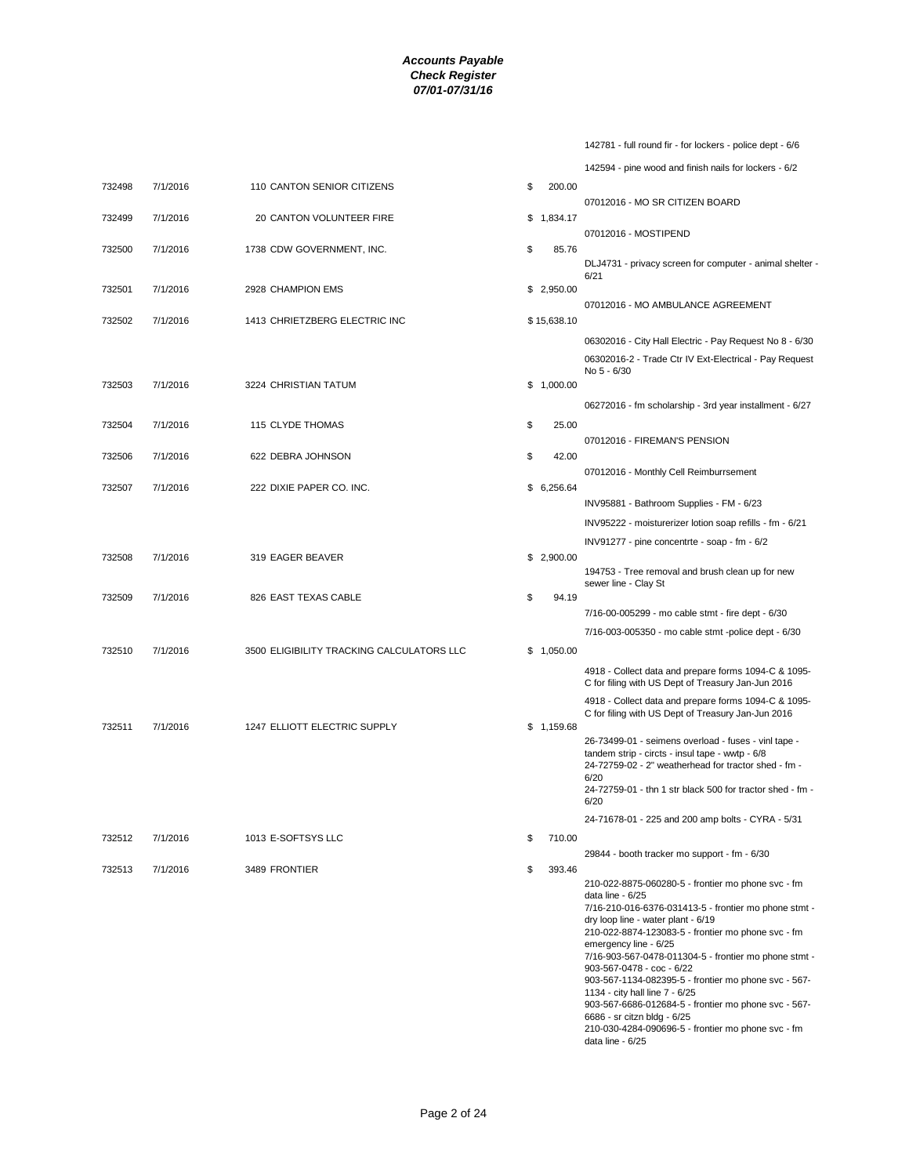|        |          |                                           |              | 142781 - full round fir - for lockers - police dept - 6/6                                                  |
|--------|----------|-------------------------------------------|--------------|------------------------------------------------------------------------------------------------------------|
|        |          |                                           |              | 142594 - pine wood and finish nails for lockers - 6/2                                                      |
| 732498 | 7/1/2016 | 110 CANTON SENIOR CITIZENS                | \$<br>200.00 |                                                                                                            |
|        |          |                                           |              | 07012016 - MO SR CITIZEN BOARD                                                                             |
| 732499 | 7/1/2016 | 20 CANTON VOLUNTEER FIRE                  | \$1,834.17   |                                                                                                            |
|        |          |                                           |              | 07012016 - MOSTIPEND                                                                                       |
| 732500 | 7/1/2016 | 1738 CDW GOVERNMENT, INC.                 | \$<br>85.76  | DLJ4731 - privacy screen for computer - animal shelter -                                                   |
|        |          |                                           |              | 6/21                                                                                                       |
| 732501 | 7/1/2016 | 2928 CHAMPION EMS                         | \$2,950.00   |                                                                                                            |
| 732502 | 7/1/2016 | 1413 CHRIETZBERG ELECTRIC INC             | \$15,638.10  | 07012016 - MO AMBULANCE AGREEMENT                                                                          |
|        |          |                                           |              |                                                                                                            |
|        |          |                                           |              | 06302016 - City Hall Electric - Pay Request No 8 - 6/30                                                    |
|        |          |                                           |              | 06302016-2 - Trade Ctr IV Ext-Electrical - Pay Request<br>No 5 - 6/30                                      |
| 732503 | 7/1/2016 | 3224 CHRISTIAN TATUM                      | \$1,000.00   |                                                                                                            |
|        |          |                                           |              | 06272016 - fm scholarship - 3rd year installment - 6/27                                                    |
| 732504 | 7/1/2016 | <b>115 CLYDE THOMAS</b>                   | \$<br>25.00  |                                                                                                            |
|        |          |                                           |              | 07012016 - FIREMAN'S PENSION                                                                               |
| 732506 | 7/1/2016 | 622 DEBRA JOHNSON                         | \$<br>42.00  |                                                                                                            |
|        |          |                                           |              | 07012016 - Monthly Cell Reimburrsement                                                                     |
| 732507 | 7/1/2016 | 222 DIXIE PAPER CO. INC.                  | \$6,256.64   | INV95881 - Bathroom Supplies - FM - 6/23                                                                   |
|        |          |                                           |              |                                                                                                            |
|        |          |                                           |              | INV95222 - moisturerizer lotion soap refills - fm - 6/21                                                   |
| 732508 | 7/1/2016 | 319 EAGER BEAVER                          | \$2,900.00   | INV91277 - pine concentrte - soap - fm - 6/2                                                               |
|        |          |                                           |              | 194753 - Tree removal and brush clean up for new                                                           |
|        |          |                                           |              | sewer line - Clay St                                                                                       |
| 732509 | 7/1/2016 | 826 EAST TEXAS CABLE                      | \$<br>94.19  | 7/16-00-005299 - mo cable stmt - fire dept - 6/30                                                          |
|        |          |                                           |              | 7/16-003-005350 - mo cable stmt -police dept - 6/30                                                        |
| 732510 | 7/1/2016 |                                           |              |                                                                                                            |
|        |          | 3500 ELIGIBILITY TRACKING CALCULATORS LLC | \$1,050.00   |                                                                                                            |
|        |          |                                           |              | 4918 - Collect data and prepare forms 1094-C & 1095-<br>C for filing with US Dept of Treasury Jan-Jun 2016 |
|        |          |                                           |              | 4918 - Collect data and prepare forms 1094-C & 1095-                                                       |
|        |          |                                           |              | C for filing with US Dept of Treasury Jan-Jun 2016                                                         |
| 732511 | 7/1/2016 | 1247 ELLIOTT ELECTRIC SUPPLY              | \$1,159.68   | 26-73499-01 - seimens overload - fuses - vinl tape -                                                       |
|        |          |                                           |              | tandem strip - circts - insul tape - wwtp - 6/8                                                            |
|        |          |                                           |              | 24-72759-02 - 2" weatherhead for tractor shed - fm -<br>6/20                                               |
|        |          |                                           |              | 24-72759-01 - thn 1 str black 500 for tractor shed - fm -                                                  |
|        |          |                                           |              | 6/20                                                                                                       |
|        |          |                                           |              | 24-71678-01 - 225 and 200 amp bolts - CYRA - 5/31                                                          |
| 732512 | 7/1/2016 | 1013 E-SOFTSYS LLC                        | \$<br>710.00 | 29844 - booth tracker mo support - fm - 6/30                                                               |
| 732513 | 7/1/2016 | 3489 FRONTIER                             | \$<br>393.46 |                                                                                                            |
|        |          |                                           |              | 210-022-8875-060280-5 - frontier mo phone svc - fm                                                         |
|        |          |                                           |              | data line - 6/25<br>7/16-210-016-6376-031413-5 - frontier mo phone stmt -                                  |
|        |          |                                           |              | dry loop line - water plant - 6/19                                                                         |
|        |          |                                           |              | 210-022-8874-123083-5 - frontier mo phone svc - fm<br>emergency line - 6/25                                |
|        |          |                                           |              | 7/16-903-567-0478-011304-5 - frontier mo phone stmt -                                                      |
|        |          |                                           |              | 903-567-0478 - coc - 6/22<br>903-567-1134-082395-5 - frontier mo phone svc - 567-                          |
|        |          |                                           |              | 1134 - city hall line 7 - 6/25                                                                             |
|        |          |                                           |              | 903-567-6686-012684-5 - frontier mo phone svc - 567-<br>6686 - sr citzn bldg - 6/25                        |
|        |          |                                           |              | 210-030-4284-090696-5 - frontier mo phone svc - fm                                                         |

data line - 6/25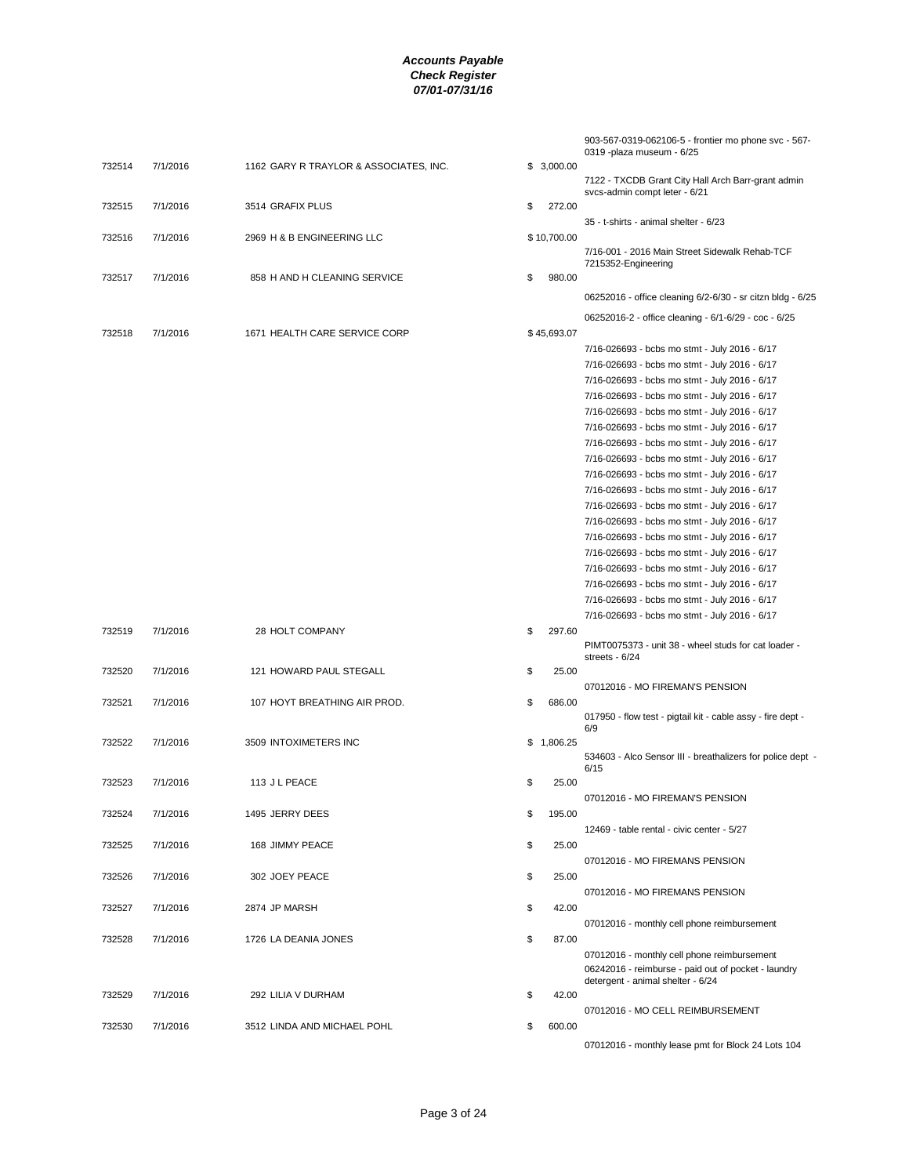|        |          |                                        |                | 903-567-0319-062106-5 - frontier mo phone svc - 567-<br>0319 - plaza museum - 6/25 |
|--------|----------|----------------------------------------|----------------|------------------------------------------------------------------------------------|
| 732514 | 7/1/2016 | 1162 GARY R TRAYLOR & ASSOCIATES, INC. | \$3,000.00     |                                                                                    |
|        |          |                                        |                | 7122 - TXCDB Grant City Hall Arch Barr-grant admin                                 |
|        |          |                                        |                | svcs-admin compt leter - 6/21                                                      |
| 732515 | 7/1/2016 | 3514 GRAFIX PLUS                       | 272.00<br>\$   |                                                                                    |
|        |          |                                        |                | 35 - t-shirts - animal shelter - 6/23                                              |
| 732516 | 7/1/2016 | 2969 H & B ENGINEERING LLC             | \$10,700.00    |                                                                                    |
|        |          |                                        |                | 7/16-001 - 2016 Main Street Sidewalk Rehab-TCF                                     |
|        |          |                                        |                | 7215352-Engineering                                                                |
| 732517 | 7/1/2016 | 858 H AND H CLEANING SERVICE           | \$<br>980.00   |                                                                                    |
|        |          |                                        |                | 06252016 - office cleaning 6/2-6/30 - sr citzn bldg - 6/25                         |
|        |          |                                        |                |                                                                                    |
|        |          |                                        |                | 06252016-2 - office cleaning - 6/1-6/29 - coc - 6/25                               |
| 732518 | 7/1/2016 | 1671 HEALTH CARE SERVICE CORP          | \$45,693.07    |                                                                                    |
|        |          |                                        |                | 7/16-026693 - bcbs mo stmt - July 2016 - 6/17                                      |
|        |          |                                        |                | 7/16-026693 - bcbs mo stmt - July 2016 - 6/17                                      |
|        |          |                                        |                | 7/16-026693 - bcbs mo stmt - July 2016 - 6/17                                      |
|        |          |                                        |                | 7/16-026693 - bcbs mo stmt - July 2016 - 6/17                                      |
|        |          |                                        |                | 7/16-026693 - bcbs mo stmt - July 2016 - 6/17                                      |
|        |          |                                        |                |                                                                                    |
|        |          |                                        |                | 7/16-026693 - bcbs mo stmt - July 2016 - 6/17                                      |
|        |          |                                        |                | 7/16-026693 - bcbs mo stmt - July 2016 - 6/17                                      |
|        |          |                                        |                | 7/16-026693 - bcbs mo stmt - July 2016 - 6/17                                      |
|        |          |                                        |                | 7/16-026693 - bcbs mo stmt - July 2016 - 6/17                                      |
|        |          |                                        |                | 7/16-026693 - bcbs mo stmt - July 2016 - 6/17                                      |
|        |          |                                        |                | 7/16-026693 - bcbs mo stmt - July 2016 - 6/17                                      |
|        |          |                                        |                | 7/16-026693 - bcbs mo stmt - July 2016 - 6/17                                      |
|        |          |                                        |                | 7/16-026693 - bcbs mo stmt - July 2016 - 6/17                                      |
|        |          |                                        |                | 7/16-026693 - bcbs mo stmt - July 2016 - 6/17                                      |
|        |          |                                        |                | 7/16-026693 - bcbs mo stmt - July 2016 - 6/17                                      |
|        |          |                                        |                | 7/16-026693 - bcbs mo stmt - July 2016 - 6/17                                      |
|        |          |                                        |                |                                                                                    |
|        |          |                                        |                | 7/16-026693 - bcbs mo stmt - July 2016 - 6/17                                      |
|        |          |                                        |                | 7/16-026693 - bcbs mo stmt - July 2016 - 6/17                                      |
| 732519 | 7/1/2016 | 28 HOLT COMPANY                        | \$<br>297.60   |                                                                                    |
|        |          |                                        |                | PIMT0075373 - unit 38 - wheel studs for cat loader -                               |
| 732520 | 7/1/2016 |                                        | \$<br>25.00    | streets - $6/24$                                                                   |
|        |          | 121 HOWARD PAUL STEGALL                |                |                                                                                    |
|        |          |                                        |                | 07012016 - MO FIREMAN'S PENSION                                                    |
| 732521 | 7/1/2016 | 107 HOYT BREATHING AIR PROD.           | \$<br>686.00   |                                                                                    |
|        |          |                                        |                | 017950 - flow test - pigtail kit - cable assy - fire dept -<br>6/9                 |
| 732522 | 7/1/2016 | 3509 INTOXIMETERS INC                  | \$<br>1,806.25 |                                                                                    |
|        |          |                                        |                | 534603 - Alco Sensor III - breathalizers for police dept -                         |
|        |          |                                        |                | 6/15                                                                               |
| 732523 | 7/1/2016 | 113 J L PEACE                          | \$<br>25.00    |                                                                                    |
|        |          |                                        |                | 07012016 - MO FIREMAN'S PENSION                                                    |
| 732524 | 7/1/2016 | 1495 JERRY DEES                        | \$<br>195.00   |                                                                                    |
|        |          |                                        |                |                                                                                    |
|        |          |                                        |                | 12469 - table rental - civic center - 5/27                                         |
| 732525 | 7/1/2016 | 168 JIMMY PEACE                        | \$<br>25.00    |                                                                                    |
|        |          |                                        |                | 07012016 - MO FIREMANS PENSION                                                     |
| 732526 | 7/1/2016 | 302 JOEY PEACE                         | \$<br>25.00    |                                                                                    |
|        |          |                                        |                | 07012016 - MO FIREMANS PENSION                                                     |
| 732527 | 7/1/2016 | 2874 JP MARSH                          | \$<br>42.00    |                                                                                    |
|        |          |                                        |                | 07012016 - monthly cell phone reimbursement                                        |
| 732528 | 7/1/2016 | 1726 LA DEANIA JONES                   | \$<br>87.00    |                                                                                    |
|        |          |                                        |                | 07012016 - monthly cell phone reimbursement                                        |
|        |          |                                        |                | 06242016 - reimburse - paid out of pocket - laundry                                |
|        |          |                                        |                | detergent - animal shelter - 6/24                                                  |
| 732529 | 7/1/2016 | 292 LILIA V DURHAM                     | \$<br>42.00    |                                                                                    |
|        |          |                                        |                | 07012016 - MO CELL REIMBURSEMENT                                                   |
| 732530 | 7/1/2016 | 3512 LINDA AND MICHAEL POHL            | \$<br>600.00   |                                                                                    |
|        |          |                                        |                |                                                                                    |
|        |          |                                        |                | 07012016 - monthly lease pmt for Block 24 Lots 104                                 |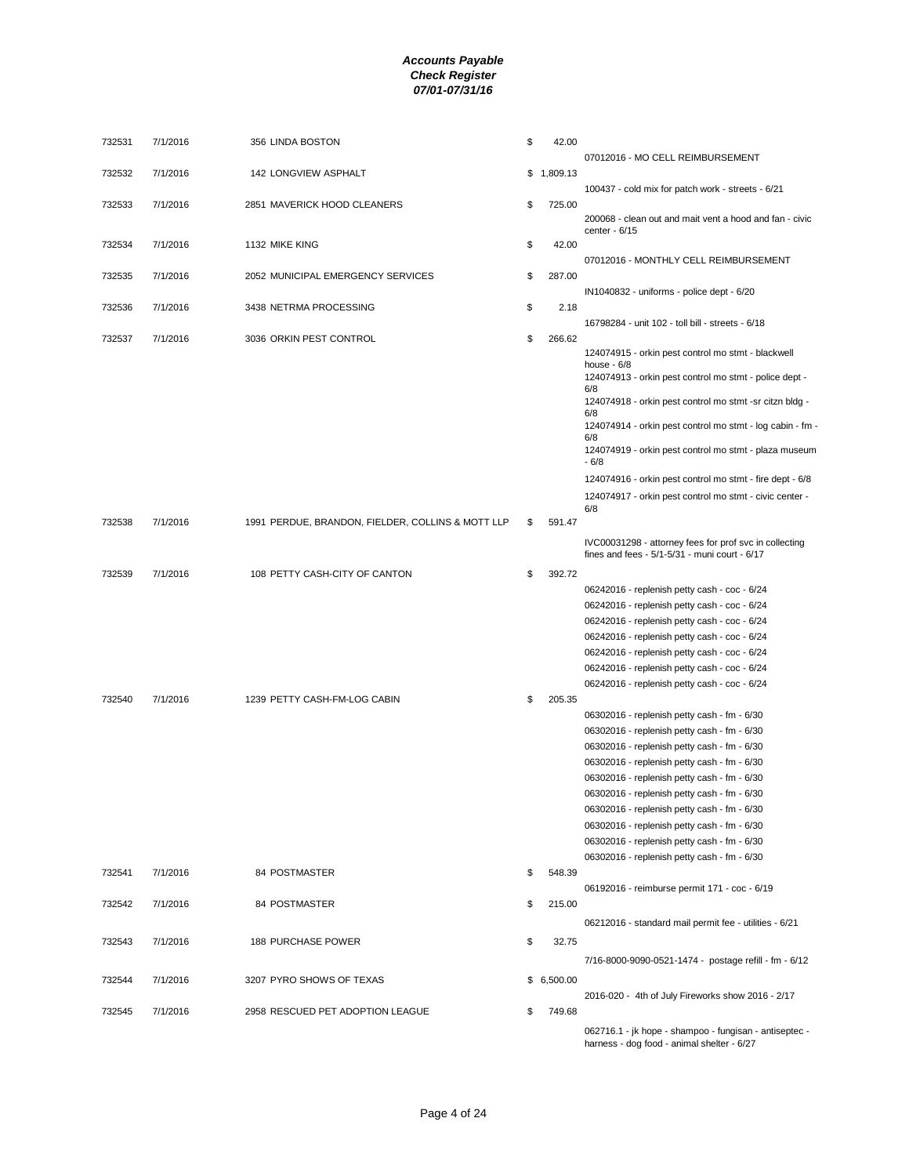| 732531 | 7/1/2016 | 356 LINDA BOSTON                                  | \$<br>42.00  |                                                                                                         |
|--------|----------|---------------------------------------------------|--------------|---------------------------------------------------------------------------------------------------------|
|        |          |                                                   |              | 07012016 - MO CELL REIMBURSEMENT                                                                        |
| 732532 | 7/1/2016 | 142 LONGVIEW ASPHALT                              | \$1,809.13   |                                                                                                         |
|        |          |                                                   |              | 100437 - cold mix for patch work - streets - 6/21                                                       |
| 732533 | 7/1/2016 | 2851 MAVERICK HOOD CLEANERS                       | \$<br>725.00 |                                                                                                         |
|        |          |                                                   |              | 200068 - clean out and mait vent a hood and fan - civic<br>center - 6/15                                |
| 732534 | 7/1/2016 | 1132 MIKE KING                                    | \$<br>42.00  |                                                                                                         |
|        |          |                                                   |              | 07012016 - MONTHLY CELL REIMBURSEMENT                                                                   |
| 732535 | 7/1/2016 | 2052 MUNICIPAL EMERGENCY SERVICES                 | \$<br>287.00 |                                                                                                         |
|        |          |                                                   |              | IN1040832 - uniforms - police dept - 6/20                                                               |
| 732536 | 7/1/2016 | 3438 NETRMA PROCESSING                            | \$<br>2.18   |                                                                                                         |
|        |          |                                                   |              | 16798284 - unit 102 - toll bill - streets - 6/18                                                        |
| 732537 | 7/1/2016 | 3036 ORKIN PEST CONTROL                           | \$<br>266.62 |                                                                                                         |
|        |          |                                                   |              | 124074915 - orkin pest control mo stmt - blackwell                                                      |
|        |          |                                                   |              | house $-6/8$                                                                                            |
|        |          |                                                   |              | 124074913 - orkin pest control mo stmt - police dept -<br>6/8                                           |
|        |          |                                                   |              | 124074918 - orkin pest control mo stmt -sr citzn bldg -                                                 |
|        |          |                                                   |              | 6/8                                                                                                     |
|        |          |                                                   |              | 124074914 - orkin pest control mo stmt - log cabin - fm -<br>6/8                                        |
|        |          |                                                   |              | 124074919 - orkin pest control mo stmt - plaza museum                                                   |
|        |          |                                                   |              | $-6/8$                                                                                                  |
|        |          |                                                   |              | 124074916 - orkin pest control mo stmt - fire dept - 6/8                                                |
|        |          |                                                   |              | 124074917 - orkin pest control mo stmt - civic center -                                                 |
| 732538 | 7/1/2016 | 1991 PERDUE, BRANDON, FIELDER, COLLINS & MOTT LLP | \$<br>591.47 | 6/8                                                                                                     |
|        |          |                                                   |              |                                                                                                         |
|        |          |                                                   |              | IVC00031298 - attorney fees for prof svc in collecting<br>fines and fees - 5/1-5/31 - muni court - 6/17 |
|        |          |                                                   |              |                                                                                                         |
| 732539 | 7/1/2016 | 108 PETTY CASH-CITY OF CANTON                     | \$<br>392.72 |                                                                                                         |
|        |          |                                                   |              | 06242016 - replenish petty cash - coc - 6/24                                                            |
|        |          |                                                   |              | 06242016 - replenish petty cash - coc - 6/24                                                            |
|        |          |                                                   |              | 06242016 - replenish petty cash - coc - 6/24<br>06242016 - replenish petty cash - coc - 6/24            |
|        |          |                                                   |              | 06242016 - replenish petty cash - coc - 6/24                                                            |
|        |          |                                                   |              | 06242016 - replenish petty cash - coc - 6/24                                                            |
|        |          |                                                   |              | 06242016 - replenish petty cash - coc - 6/24                                                            |
| 732540 | 7/1/2016 | 1239 PETTY CASH-FM-LOG CABIN                      | \$<br>205.35 |                                                                                                         |
|        |          |                                                   |              | 06302016 - replenish petty cash - fm - 6/30                                                             |
|        |          |                                                   |              | 06302016 - replenish petty cash - fm - 6/30                                                             |
|        |          |                                                   |              | 06302016 - replenish petty cash - fm - 6/30                                                             |
|        |          |                                                   |              | 06302016 - replenish petty cash - fm - 6/30                                                             |
|        |          |                                                   |              | 06302016 - replenish petty cash - fm - 6/30                                                             |
|        |          |                                                   |              | 06302016 - replenish petty cash - fm - 6/30                                                             |
|        |          |                                                   |              | 06302016 - replenish petty cash - fm - 6/30                                                             |
|        |          |                                                   |              | 06302016 - replenish petty cash - fm - 6/30                                                             |
|        |          |                                                   |              | 06302016 - replenish petty cash - fm - 6/30                                                             |
|        |          |                                                   |              | 06302016 - replenish petty cash - fm - 6/30                                                             |
| 732541 | 7/1/2016 | 84 POSTMASTER                                     | \$<br>548.39 |                                                                                                         |
|        |          |                                                   |              | 06192016 - reimburse permit 171 - coc - 6/19                                                            |
| 732542 | 7/1/2016 | 84 POSTMASTER                                     | \$<br>215.00 |                                                                                                         |
|        |          |                                                   |              | 06212016 - standard mail permit fee - utilities - 6/21                                                  |
| 732543 | 7/1/2016 | 188 PURCHASE POWER                                | \$<br>32.75  |                                                                                                         |
|        |          |                                                   |              | 7/16-8000-9090-0521-1474 - postage refill - fm - 6/12                                                   |
|        |          |                                                   |              |                                                                                                         |
| 732544 | 7/1/2016 | 3207 PYRO SHOWS OF TEXAS                          | \$6,500.00   |                                                                                                         |
|        |          |                                                   |              | 2016-020 - 4th of July Fireworks show 2016 - 2/17                                                       |
| 732545 | 7/1/2016 | 2958 RESCUED PET ADOPTION LEAGUE                  | \$<br>749.68 |                                                                                                         |
|        |          |                                                   |              | 062716.1 - jk hope - shampoo - fungisan - antiseptec -                                                  |
|        |          |                                                   |              | harness - dog food - animal shelter - 6/27                                                              |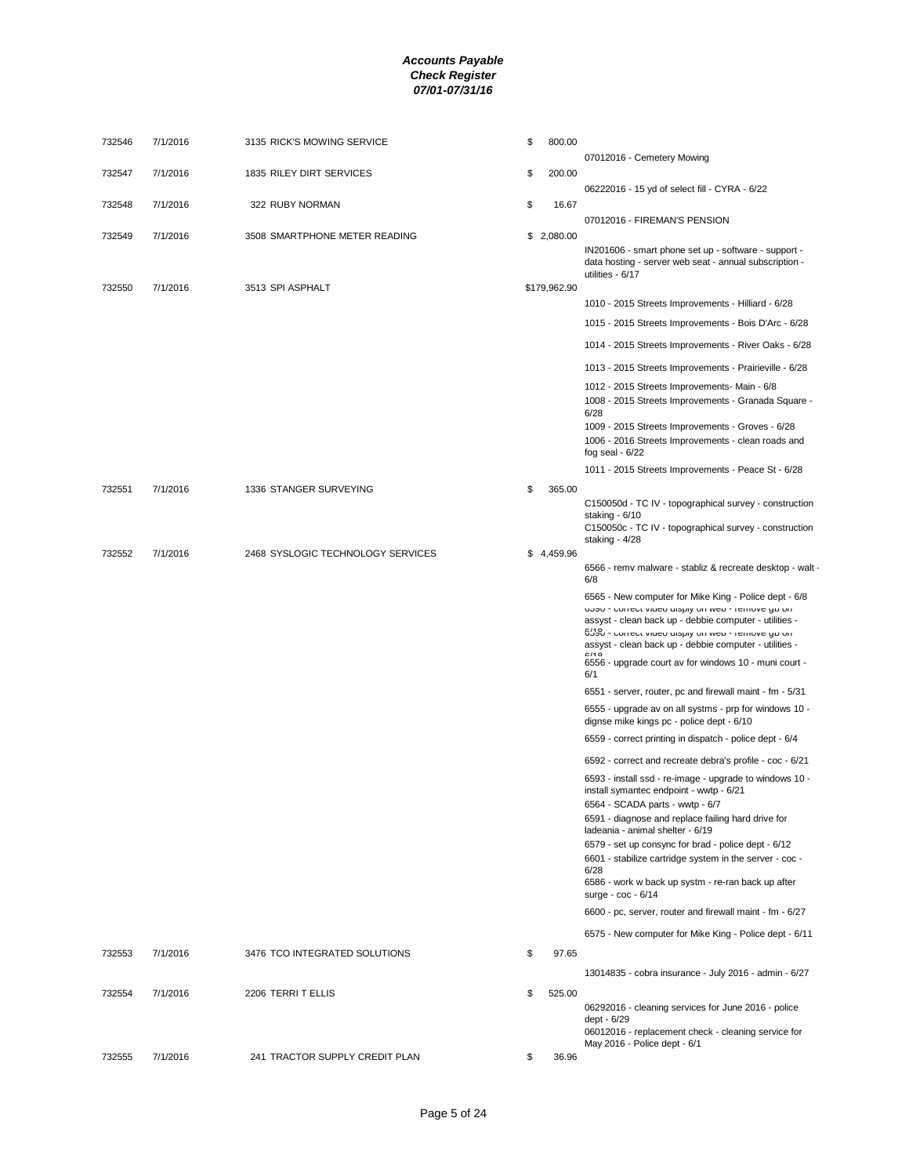| 732546 | 7/1/2016 | 3135 RICK'S MOWING SERVICE        | \$<br>800.00 |                                                                                                                                                                                                                                                                                                                                                         |
|--------|----------|-----------------------------------|--------------|---------------------------------------------------------------------------------------------------------------------------------------------------------------------------------------------------------------------------------------------------------------------------------------------------------------------------------------------------------|
|        |          |                                   |              | 07012016 - Cemetery Mowing                                                                                                                                                                                                                                                                                                                              |
| 732547 | 7/1/2016 | 1835 RILEY DIRT SERVICES          | \$<br>200.00 | 06222016 - 15 yd of select fill - CYRA - 6/22                                                                                                                                                                                                                                                                                                           |
| 732548 | 7/1/2016 | 322 RUBY NORMAN                   | \$<br>16.67  |                                                                                                                                                                                                                                                                                                                                                         |
|        |          |                                   |              | 07012016 - FIREMAN'S PENSION                                                                                                                                                                                                                                                                                                                            |
| 732549 | 7/1/2016 | 3508 SMARTPHONE METER READING     | \$2,080.00   | IN201606 - smart phone set up - software - support -<br>data hosting - server web seat - annual subscription -<br>utilities - 6/17                                                                                                                                                                                                                      |
| 732550 | 7/1/2016 | 3513 SPI ASPHALT                  | \$179,962.90 |                                                                                                                                                                                                                                                                                                                                                         |
|        |          |                                   |              | 1010 - 2015 Streets Improvements - Hilliard - 6/28                                                                                                                                                                                                                                                                                                      |
|        |          |                                   |              | 1015 - 2015 Streets Improvements - Bois D'Arc - 6/28                                                                                                                                                                                                                                                                                                    |
|        |          |                                   |              | 1014 - 2015 Streets Improvements - River Oaks - 6/28                                                                                                                                                                                                                                                                                                    |
|        |          |                                   |              | 1013 - 2015 Streets Improvements - Prairieville - 6/28                                                                                                                                                                                                                                                                                                  |
|        |          |                                   |              | 1012 - 2015 Streets Improvements - Main - 6/8<br>1008 - 2015 Streets Improvements - Granada Square -<br>6/28<br>1009 - 2015 Streets Improvements - Groves - 6/28<br>1006 - 2016 Streets Improvements - clean roads and<br>fog seal - $6/22$                                                                                                             |
|        |          |                                   |              | 1011 - 2015 Streets Improvements - Peace St - 6/28                                                                                                                                                                                                                                                                                                      |
| 732551 | 7/1/2016 | 1336 STANGER SURVEYING            | \$<br>365.00 | C150050d - TC IV - topographical survey - construction<br>staking - 6/10<br>C150050c - TC IV - topographical survey - construction<br>staking - 4/28                                                                                                                                                                                                    |
| 732552 | 7/1/2016 | 2468 SYSLOGIC TECHNOLOGY SERVICES | \$4,459.96   | 6566 - remv malware - stabliz & recreate desktop - walt -<br>6/8                                                                                                                                                                                                                                                                                        |
|        |          |                                   |              | 6565 - New computer for Mike King - Police dept - 6/8<br>nn an an inn an an an an an an an an an an an<br>assyst - clean back up - debbie computer - utilities -<br>6350 - correct video disply on web - remove go on<br>assyst - clean back up - debbie computer - utilities -<br>C/4O<br>6556 - upgrade court av for windows 10 - muni court -<br>6/1 |
|        |          |                                   |              | 6551 - server, router, pc and firewall maint - fm - 5/31                                                                                                                                                                                                                                                                                                |
|        |          |                                   |              | 6555 - upgrade av on all systms - prp for windows 10 -<br>dignse mike kings pc - police dept - 6/10                                                                                                                                                                                                                                                     |
|        |          |                                   |              | 6559 - correct printing in dispatch - police dept - 6/4                                                                                                                                                                                                                                                                                                 |
|        |          |                                   |              | 6592 - correct and recreate debra's profile - coc - 6/21                                                                                                                                                                                                                                                                                                |
|        |          |                                   |              | 6593 - install ssd - re-image - upgrade to windows 10 -<br>install symantec endpoint - wwtp - 6/21                                                                                                                                                                                                                                                      |
|        |          |                                   |              | 6564 - SCADA parts - wwtp - 6/7<br>6591 - diagnose and replace failing hard drive for<br>ladeania - animal shelter - 6/19                                                                                                                                                                                                                               |
|        |          |                                   |              | 6579 - set up consync for brad - police dept - 6/12<br>6601 - stabilize cartridge system in the server - coc -<br>6/28                                                                                                                                                                                                                                  |
|        |          |                                   |              | 6586 - work w back up systm - re-ran back up after<br>surge - coc - 6/14                                                                                                                                                                                                                                                                                |
|        |          |                                   |              | 6600 - pc, server, router and firewall maint - fm - 6/27                                                                                                                                                                                                                                                                                                |
|        |          |                                   |              | 6575 - New computer for Mike King - Police dept - 6/11                                                                                                                                                                                                                                                                                                  |
| 732553 | 7/1/2016 | 3476 TCO INTEGRATED SOLUTIONS     | \$<br>97.65  |                                                                                                                                                                                                                                                                                                                                                         |
|        |          |                                   |              | 13014835 - cobra insurance - July 2016 - admin - 6/27                                                                                                                                                                                                                                                                                                   |
| 732554 | 7/1/2016 | 2206 TERRIT ELLIS                 | \$<br>525.00 | 06292016 - cleaning services for June 2016 - police<br>dept - 6/29                                                                                                                                                                                                                                                                                      |
|        |          |                                   |              | 06012016 - replacement check - cleaning service for<br>May 2016 - Police dept - 6/1                                                                                                                                                                                                                                                                     |
| 732555 | 7/1/2016 | 241 TRACTOR SUPPLY CREDIT PLAN    | \$<br>36.96  |                                                                                                                                                                                                                                                                                                                                                         |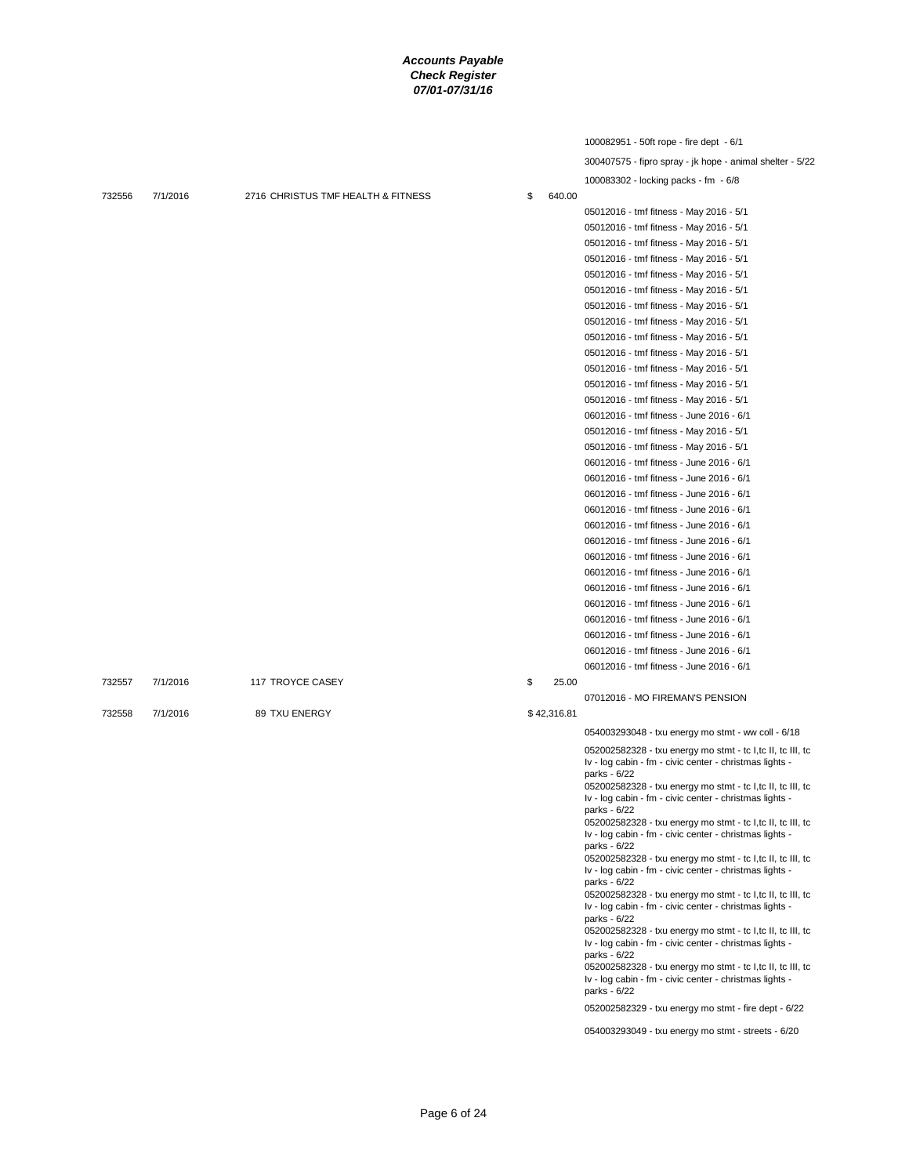|        |          |                                    |    |             | 100082951 - 50ft rope - fire dept - 6/1                                                                               |
|--------|----------|------------------------------------|----|-------------|-----------------------------------------------------------------------------------------------------------------------|
|        |          |                                    |    |             | 300407575 - fipro spray - jk hope - animal shelter - 5/22                                                             |
|        |          |                                    |    |             | 100083302 - locking packs - fm - 6/8                                                                                  |
| 732556 | 7/1/2016 | 2716 CHRISTUS TMF HEALTH & FITNESS | \$ | 640.00      |                                                                                                                       |
|        |          |                                    |    |             | 05012016 - tmf fitness - May 2016 - 5/1                                                                               |
|        |          |                                    |    |             | 05012016 - tmf fitness - May 2016 - 5/1                                                                               |
|        |          |                                    |    |             | 05012016 - tmf fitness - May 2016 - 5/1                                                                               |
|        |          |                                    |    |             | 05012016 - tmf fitness - May 2016 - 5/1                                                                               |
|        |          |                                    |    |             | 05012016 - tmf fitness - May 2016 - 5/1                                                                               |
|        |          |                                    |    |             | 05012016 - tmf fitness - May 2016 - 5/1                                                                               |
|        |          |                                    |    |             | 05012016 - tmf fitness - May 2016 - 5/1                                                                               |
|        |          |                                    |    |             | 05012016 - tmf fitness - May 2016 - 5/1                                                                               |
|        |          |                                    |    |             | 05012016 - tmf fitness - May 2016 - 5/1                                                                               |
|        |          |                                    |    |             | 05012016 - tmf fitness - May 2016 - 5/1                                                                               |
|        |          |                                    |    |             | 05012016 - tmf fitness - May 2016 - 5/1                                                                               |
|        |          |                                    |    |             | 05012016 - tmf fitness - May 2016 - 5/1                                                                               |
|        |          |                                    |    |             | 05012016 - tmf fitness - May 2016 - 5/1                                                                               |
|        |          |                                    |    |             | 06012016 - tmf fitness - June 2016 - 6/1                                                                              |
|        |          |                                    |    |             | 05012016 - tmf fitness - May 2016 - 5/1                                                                               |
|        |          |                                    |    |             | 05012016 - tmf fitness - May 2016 - 5/1                                                                               |
|        |          |                                    |    |             | 06012016 - tmf fitness - June 2016 - 6/1                                                                              |
|        |          |                                    |    |             | 06012016 - tmf fitness - June 2016 - 6/1                                                                              |
|        |          |                                    |    |             | 06012016 - tmf fitness - June 2016 - 6/1                                                                              |
|        |          |                                    |    |             | 06012016 - tmf fitness - June 2016 - 6/1                                                                              |
|        |          |                                    |    |             | 06012016 - tmf fitness - June 2016 - 6/1                                                                              |
|        |          |                                    |    |             | 06012016 - tmf fitness - June 2016 - 6/1                                                                              |
|        |          |                                    |    |             | 06012016 - tmf fitness - June 2016 - 6/1                                                                              |
|        |          |                                    |    |             | 06012016 - tmf fitness - June 2016 - 6/1                                                                              |
|        |          |                                    |    |             | 06012016 - tmf fitness - June 2016 - 6/1                                                                              |
|        |          |                                    |    |             | 06012016 - tmf fitness - June 2016 - 6/1                                                                              |
|        |          |                                    |    |             | 06012016 - tmf fitness - June 2016 - 6/1                                                                              |
|        |          |                                    |    |             | 06012016 - tmf fitness - June 2016 - 6/1                                                                              |
|        |          |                                    |    |             | 06012016 - tmf fitness - June 2016 - 6/1                                                                              |
|        |          |                                    |    |             | 06012016 - tmf fitness - June 2016 - 6/1                                                                              |
| 732557 | 7/1/2016 | 117 TROYCE CASEY                   | \$ | 25.00       |                                                                                                                       |
|        |          |                                    |    |             | 07012016 - MO FIREMAN'S PENSION                                                                                       |
| 732558 | 7/1/2016 | 89 TXU ENERGY                      |    | \$42,316.81 |                                                                                                                       |
|        |          |                                    |    |             | 054003293048 - txu energy mo stmt - ww coll - 6/18                                                                    |
|        |          |                                    |    |             | 052002582328 - txu energy mo stmt - tc l,tc ll, tc lll, tc                                                            |
|        |          |                                    |    |             | Iv - log cabin - fm - civic center - christmas lights -                                                               |
|        |          |                                    |    |             | parks - 6/22                                                                                                          |
|        |          |                                    |    |             | 052002582328 - txu energy mo stmt - tc l,tc ll, tc lll, tc                                                            |
|        |          |                                    |    |             | Iv - log cabin - fm - civic center - christmas lights -<br>parks - 6/22                                               |
|        |          |                                    |    |             | 052002582328 - txu energy mo stmt - tc l,tc ll, tc lll, tc                                                            |
|        |          |                                    |    |             | Iv - log cabin - fm - civic center - christmas lights -                                                               |
|        |          |                                    |    |             | parks - 6/22<br>052002582328 - txu energy mo stmt - tc l,tc ll, tc lll, tc                                            |
|        |          |                                    |    |             | Iv - log cabin - fm - civic center - christmas lights -                                                               |
|        |          |                                    |    |             | parks - 6/22                                                                                                          |
|        |          |                                    |    |             | 052002582328 - txu energy mo stmt - tc l,tc ll, tc lll, tc<br>Iv - log cabin - fm - civic center - christmas lights - |
|        |          |                                    |    |             | parks - 6/22                                                                                                          |
|        |          |                                    |    |             | 052002582328 - txu energy mo stmt - tc l,tc ll, tc lll, tc                                                            |
|        |          |                                    |    |             | Iv - log cabin - fm - civic center - christmas lights -<br>parks - 6/22                                               |
|        |          |                                    |    |             | 052002582328 - txu energy mo stmt - tc l,tc ll, tc lll, tc                                                            |
|        |          |                                    |    |             | Iv - log cabin - fm - civic center - christmas lights -                                                               |
|        |          |                                    |    |             | parks - 6/22                                                                                                          |
|        |          |                                    |    |             | 052002582329 - txu energy mo stmt - fire dept - 6/22                                                                  |
|        |          |                                    |    |             | 054003293049 - txu energy mo stmt - streets - 6/20                                                                    |
|        |          |                                    |    |             |                                                                                                                       |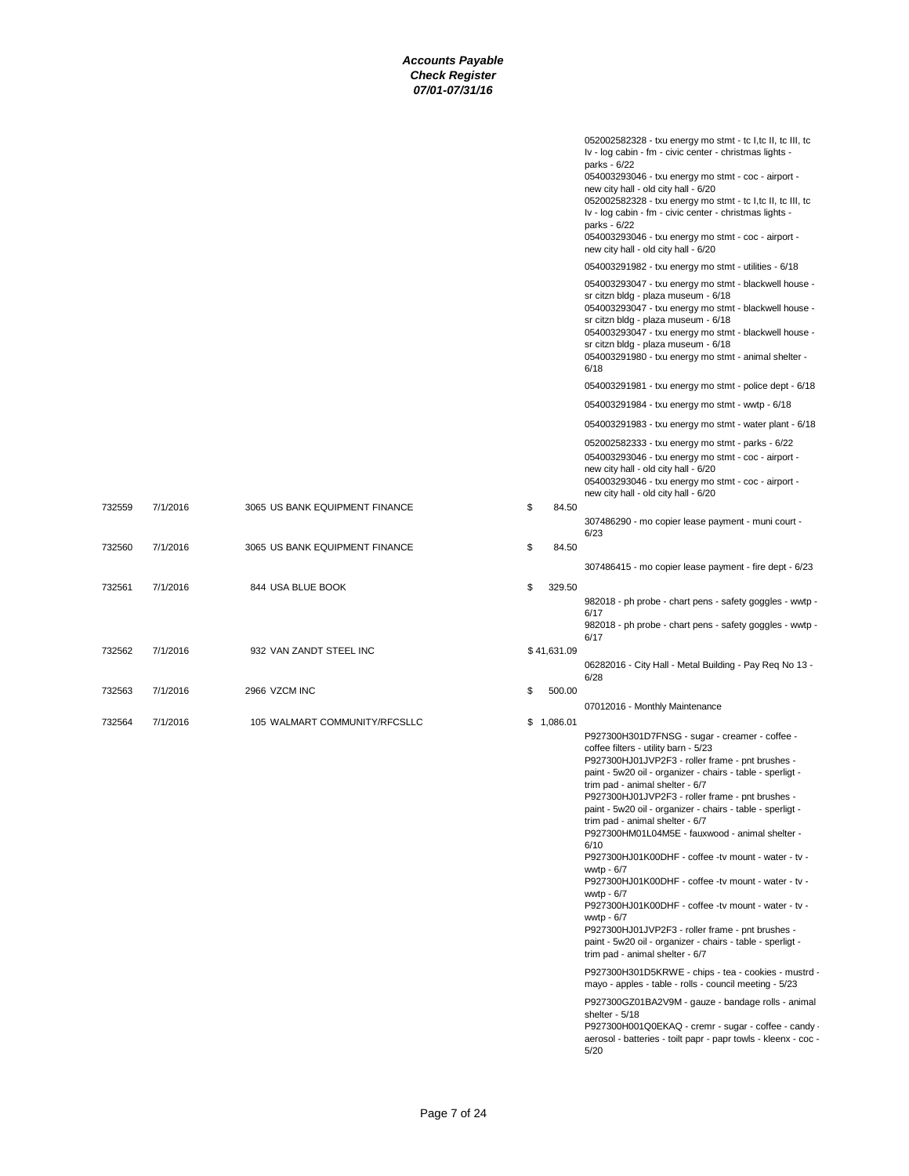#### *Check Register 07/01-07/31/16* 052002582328 - txu energy mo stmt - tc I,tc II, tc III, tc Iv - log cabin - fm - civic center - christmas lights parks - 6/22 054003293046 - txu energy mo stmt - coc - airport new city hall - old city hall - 6/20 052002582328 - txu energy mo stmt - tc I,tc II, tc III, tc Iv - log cabin - fm - civic center - christmas lights parks - 6/22 054003293046 - txu energy mo stmt - coc - airport new city hall - old city hall - 6/20 054003291982 - txu energy mo stmt - utilities - 6/18 054003293047 - txu energy mo stmt - blackwell house sr citzn bldg - plaza museum - 6/18 054003293047 - txu energy mo stmt - blackwell house sr citzn bldg - plaza museum - 6/18 054003293047 - txu energy mo stmt - blackwell house sr citzn bldg - plaza museum - 6/18 054003291980 - txu energy mo stmt - animal shelter - 6/18 054003291981 - txu energy mo stmt - police dept - 6/18 054003291984 - txu energy mo stmt - wwtp - 6/18 054003291983 - txu energy mo stmt - water plant - 6/18 052002582333 - txu energy mo stmt - parks - 6/22 054003293046 - txu energy mo stmt - coc - airport new city hall - old city hall - 6/20 054003293046 - txu energy mo stmt - coc - airport new city hall - old city hall - 6/20 732559 7/1/2016 3065 US BANK EQUIPMENT FINANCE \$ 84.50 307486290 - mo copier lease payment - muni court - 6/23 732560 7/1/2016 3065 US BANK EQUIPMENT FINANCE \$ 84.50 307486415 - mo copier lease payment - fire dept - 6/23 732561 7/1/2016 844 USA BLUE BOOK \$ 329.50 982018 - ph probe - chart pens - safety goggles - wwtp - 6/17 982018 - ph probe - chart pens - safety goggles - wwtp - 6/17 732562 7/1/2016 932 VAN ZANDT STEEL INC \$ 41,631.09 06282016 - City Hall - Metal Building - Pay Req No 13 - 6/28 732563 7/1/2016 2966 VZCM INC \$ 500.00 07012016 - Monthly Maintenance 732564 7/1/2016 105 WALMART COMMUNITY/RFCSLLC \$ 1,086.01 P927300H301D7FNSG - sugar - creamer - coffee coffee filters - utility barn - 5/23 P927300HJ01JVP2F3 - roller frame - pnt brushes paint - 5w20 oil - organizer - chairs - table - sperligt trim pad - animal shelter - 6/7 P927300HJ01JVP2F3 - roller frame - pnt brushes paint - 5w20 oil - organizer - chairs - table - sperligt trim pad - animal shelter - 6/7 P927300HM01L04M5E - fauxwood - animal shelter - 6/10 P927300HJ01K00DHF - coffee -tv mount - water - tv wwtp - 6/7 P927300HJ01K00DHF - coffee -tv mount - water - tv wwtp - 6/7 P927300HJ01K00DHF - coffee -tv mount - water - tv wwtp - 6/7 P927300HJ01JVP2F3 - roller frame - pnt brushes paint - 5w20 oil - organizer - chairs - table - sperligt trim pad - animal shelter - 6/7 P927300H301D5KRWE - chips - tea - cookies - mustrd mayo - apples - table - rolls - council meeting - 5/23 P927300GZ01BA2V9M - gauze - bandage rolls - animal shelter - 5/18 P927300H001Q0EKAQ - cremr - sugar - coffee - candy -

*Accounts Payable*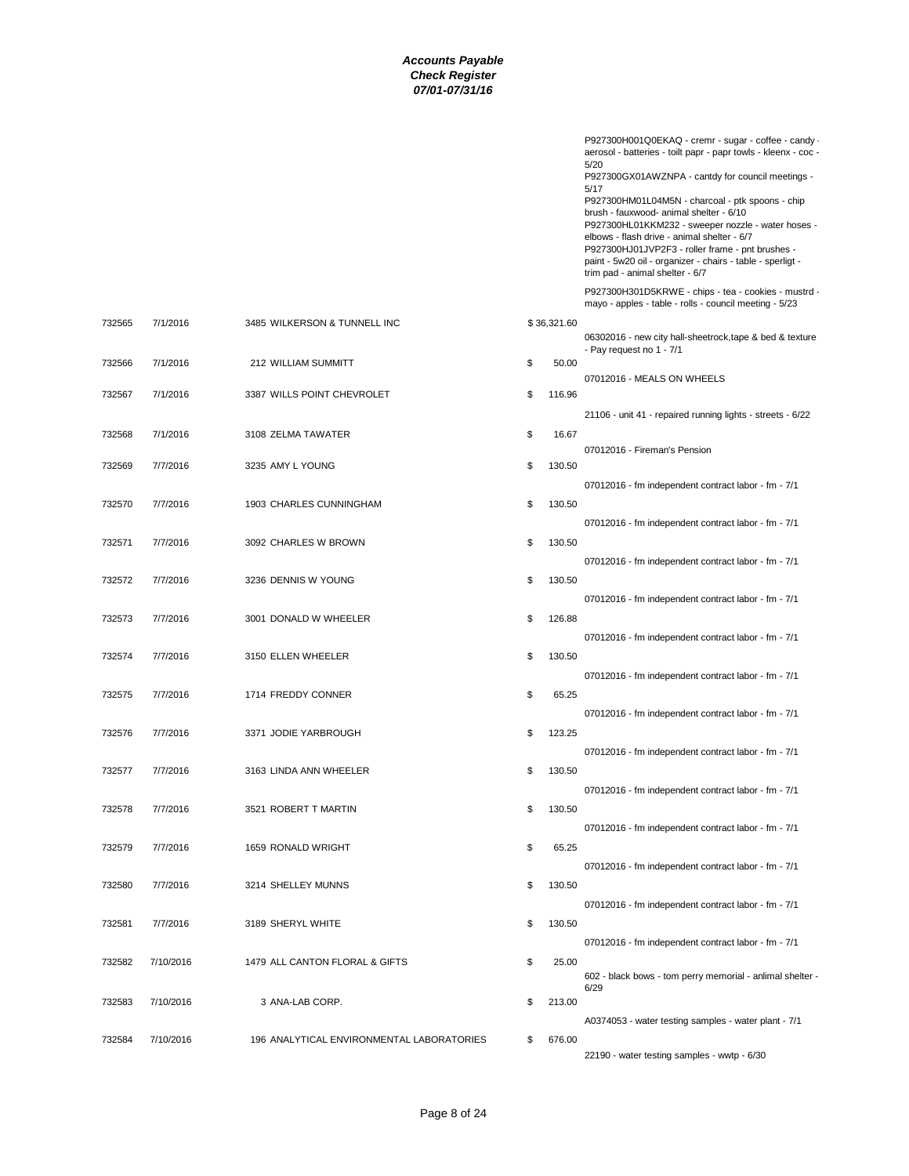|        |           |                                           |              | P927300H001Q0EKAQ - cremr - sugar - coffee - candy -<br>aerosol - batteries - toilt papr - papr towls - kleenx - coc -<br>5/20<br>P927300GX01AWZNPA - cantdy for council meetings -<br>5/17<br>P927300HM01L04M5N - charcoal - ptk spoons - chip<br>brush - fauxwood- animal shelter - 6/10<br>P927300HL01KKM232 - sweeper nozzle - water hoses -<br>elbows - flash drive - animal shelter - 6/7<br>P927300HJ01JVP2F3 - roller frame - pnt brushes -<br>paint - 5w20 oil - organizer - chairs - table - sperligt - |
|--------|-----------|-------------------------------------------|--------------|-------------------------------------------------------------------------------------------------------------------------------------------------------------------------------------------------------------------------------------------------------------------------------------------------------------------------------------------------------------------------------------------------------------------------------------------------------------------------------------------------------------------|
|        |           |                                           |              | trim pad - animal shelter - 6/7<br>P927300H301D5KRWE - chips - tea - cookies - mustrd -<br>mayo - apples - table - rolls - council meeting - 5/23                                                                                                                                                                                                                                                                                                                                                                 |
| 732565 | 7/1/2016  | 3485 WILKERSON & TUNNELL INC              | \$36,321.60  | 06302016 - new city hall-sheetrock, tape & bed & texture                                                                                                                                                                                                                                                                                                                                                                                                                                                          |
| 732566 | 7/1/2016  | 212 WILLIAM SUMMITT                       | \$<br>50.00  | - Pay request no 1 - 7/1<br>07012016 - MEALS ON WHEELS                                                                                                                                                                                                                                                                                                                                                                                                                                                            |
| 732567 | 7/1/2016  | 3387 WILLS POINT CHEVROLET                | \$<br>116.96 |                                                                                                                                                                                                                                                                                                                                                                                                                                                                                                                   |
| 732568 | 7/1/2016  | 3108 ZELMA TAWATER                        | \$<br>16.67  | 21106 - unit 41 - repaired running lights - streets - 6/22                                                                                                                                                                                                                                                                                                                                                                                                                                                        |
| 732569 | 7/7/2016  | 3235 AMY L YOUNG                          | \$<br>130.50 | 07012016 - Fireman's Pension                                                                                                                                                                                                                                                                                                                                                                                                                                                                                      |
| 732570 | 7/7/2016  | 1903 CHARLES CUNNINGHAM                   | \$<br>130.50 | 07012016 - fm independent contract labor - fm - 7/1                                                                                                                                                                                                                                                                                                                                                                                                                                                               |
|        |           |                                           |              | 07012016 - fm independent contract labor - fm - 7/1                                                                                                                                                                                                                                                                                                                                                                                                                                                               |
| 732571 | 7/7/2016  | 3092 CHARLES W BROWN                      | \$<br>130.50 | 07012016 - fm independent contract labor - fm - 7/1                                                                                                                                                                                                                                                                                                                                                                                                                                                               |
| 732572 | 7/7/2016  | 3236 DENNIS W YOUNG                       | \$<br>130.50 | 07012016 - fm independent contract labor - fm - 7/1                                                                                                                                                                                                                                                                                                                                                                                                                                                               |
| 732573 | 7/7/2016  | 3001 DONALD W WHEELER                     | \$<br>126.88 | 07012016 - fm independent contract labor - fm - 7/1                                                                                                                                                                                                                                                                                                                                                                                                                                                               |
| 732574 | 7/7/2016  | 3150 ELLEN WHEELER                        | \$<br>130.50 |                                                                                                                                                                                                                                                                                                                                                                                                                                                                                                                   |
| 732575 | 7/7/2016  | 1714 FREDDY CONNER                        | \$<br>65.25  | 07012016 - fm independent contract labor - fm - 7/1                                                                                                                                                                                                                                                                                                                                                                                                                                                               |
| 732576 | 7/7/2016  | 3371 JODIE YARBROUGH                      | \$<br>123.25 | 07012016 - fm independent contract labor - fm - 7/1                                                                                                                                                                                                                                                                                                                                                                                                                                                               |
| 732577 | 7/7/2016  | 3163 LINDA ANN WHEELER                    | \$           | 07012016 - fm independent contract labor - fm - 7/1                                                                                                                                                                                                                                                                                                                                                                                                                                                               |
|        |           |                                           | 130.50       | 07012016 - fm independent contract labor - fm - 7/1                                                                                                                                                                                                                                                                                                                                                                                                                                                               |
| 732578 | 7/7/2016  | 3521 ROBERT T MARTIN                      | \$<br>130.50 | 07012016 - fm independent contract labor - fm - 7/1                                                                                                                                                                                                                                                                                                                                                                                                                                                               |
| 732579 | 7/7/2016  | 1659 RONALD WRIGHT                        | \$<br>65.25  | 07012016 - fm independent contract labor - fm - 7/1                                                                                                                                                                                                                                                                                                                                                                                                                                                               |
| 732580 | 7/7/2016  | 3214 SHELLEY MUNNS                        | \$<br>130.50 |                                                                                                                                                                                                                                                                                                                                                                                                                                                                                                                   |
| 732581 | 7/7/2016  | 3189 SHERYL WHITE                         | \$<br>130.50 | 07012016 - fm independent contract labor - fm - 7/1                                                                                                                                                                                                                                                                                                                                                                                                                                                               |
| 732582 | 7/10/2016 | 1479 ALL CANTON FLORAL & GIFTS            | \$<br>25.00  | 07012016 - fm independent contract labor - fm - 7/1                                                                                                                                                                                                                                                                                                                                                                                                                                                               |
|        |           |                                           |              | 602 - black bows - tom perry memorial - anlimal shelter -<br>6/29                                                                                                                                                                                                                                                                                                                                                                                                                                                 |
| 732583 | 7/10/2016 | 3 ANA-LAB CORP.                           | \$<br>213.00 | A0374053 - water testing samples - water plant - 7/1                                                                                                                                                                                                                                                                                                                                                                                                                                                              |
| 732584 | 7/10/2016 | 196 ANALYTICAL ENVIRONMENTAL LABORATORIES | \$<br>676.00 | 22190 - water testing samples - wwtp - 6/30                                                                                                                                                                                                                                                                                                                                                                                                                                                                       |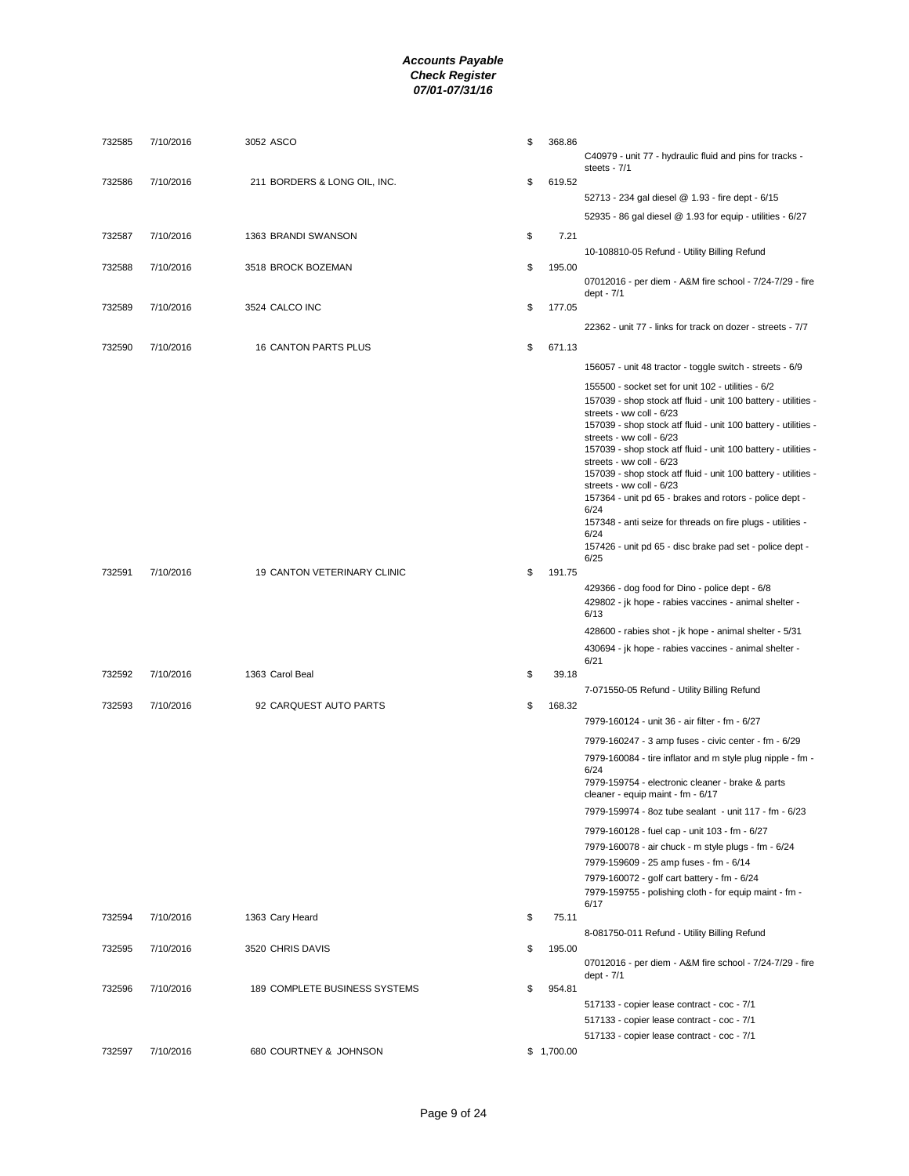| 732585 | 7/10/2016 | 3052 ASCO                     | \$<br>368.86 |                                                                                          |
|--------|-----------|-------------------------------|--------------|------------------------------------------------------------------------------------------|
| 732586 | 7/10/2016 | 211 BORDERS & LONG OIL, INC.  | \$<br>619.52 | C40979 - unit 77 - hydraulic fluid and pins for tracks -<br>steets - 7/1                 |
|        |           |                               |              | 52713 - 234 gal diesel @ 1.93 - fire dept - 6/15                                         |
|        |           |                               |              | 52935 - 86 gal diesel @ 1.93 for equip - utilities - 6/27                                |
| 732587 | 7/10/2016 | 1363 BRANDI SWANSON           | \$<br>7.21   |                                                                                          |
|        |           |                               |              | 10-108810-05 Refund - Utility Billing Refund                                             |
| 732588 | 7/10/2016 | 3518 BROCK BOZEMAN            | \$<br>195.00 |                                                                                          |
|        |           |                               |              | 07012016 - per diem - A&M fire school - 7/24-7/29 - fire<br>dept - 7/1                   |
| 732589 | 7/10/2016 | 3524 CALCO INC                | \$<br>177.05 |                                                                                          |
|        |           |                               |              | 22362 - unit 77 - links for track on dozer - streets - 7/7                               |
| 732590 | 7/10/2016 | 16 CANTON PARTS PLUS          | \$<br>671.13 |                                                                                          |
|        |           |                               |              | 156057 - unit 48 tractor - toggle switch - streets - 6/9                                 |
|        |           |                               |              | 155500 - socket set for unit 102 - utilities - 6/2                                       |
|        |           |                               |              | 157039 - shop stock atf fluid - unit 100 battery - utilities -                           |
|        |           |                               |              | streets - ww coll - 6/23<br>157039 - shop stock atf fluid - unit 100 battery - utilities |
|        |           |                               |              | streets - ww coll - 6/23                                                                 |
|        |           |                               |              | 157039 - shop stock atf fluid - unit 100 battery - utilities<br>streets - ww coll - 6/23 |
|        |           |                               |              | 157039 - shop stock atf fluid - unit 100 battery - utilities                             |
|        |           |                               |              | streets - ww coll - 6/23<br>157364 - unit pd 65 - brakes and rotors - police dept -      |
|        |           |                               |              | 6/24<br>157348 - anti seize for threads on fire plugs - utilities -                      |
|        |           |                               |              | 6/24                                                                                     |
|        |           |                               |              | 157426 - unit pd 65 - disc brake pad set - police dept -<br>6/25                         |
| 732591 | 7/10/2016 | 19 CANTON VETERINARY CLINIC   | \$<br>191.75 | 429366 - dog food for Dino - police dept - 6/8                                           |
|        |           |                               |              | 429802 - jk hope - rabies vaccines - animal shelter -<br>6/13                            |
|        |           |                               |              | 428600 - rabies shot - jk hope - animal shelter - 5/31                                   |
|        |           |                               |              | 430694 - jk hope - rabies vaccines - animal shelter -                                    |
| 732592 | 7/10/2016 | 1363 Carol Beal               | \$<br>39.18  | 6/21                                                                                     |
|        |           |                               |              | 7-071550-05 Refund - Utility Billing Refund                                              |
| 732593 | 7/10/2016 | 92 CARQUEST AUTO PARTS        | \$<br>168.32 |                                                                                          |
|        |           |                               |              | 7979-160124 - unit 36 - air filter - fm - 6/27                                           |
|        |           |                               |              | 7979-160247 - 3 amp fuses - civic center - fm - 6/29                                     |
|        |           |                               |              | 7979-160084 - tire inflator and m style plug nipple - fm -                               |
|        |           |                               |              | 6/24<br>7979-159754 - electronic cleaner - brake & parts                                 |
|        |           |                               |              | cleaner - equip maint - fm - 6/17                                                        |
|        |           |                               |              | 7979-159974 - 8oz tube sealant - unit 117 - fm - 6/23                                    |
|        |           |                               |              | 7979-160128 - fuel cap - unit 103 - fm - 6/27                                            |
|        |           |                               |              | 7979-160078 - air chuck - m style plugs - fm - 6/24                                      |
|        |           |                               |              | 7979-159609 - 25 amp fuses - fm - 6/14<br>7979-160072 - golf cart battery - fm - 6/24    |
|        |           |                               |              | 7979-159755 - polishing cloth - for equip maint - fm -<br>6/17                           |
| 732594 | 7/10/2016 | 1363 Cary Heard               | \$<br>75.11  |                                                                                          |
| 732595 | 7/10/2016 | 3520 CHRIS DAVIS              | \$<br>195.00 | 8-081750-011 Refund - Utility Billing Refund                                             |
|        |           |                               |              | 07012016 - per diem - A&M fire school - 7/24-7/29 - fire                                 |
|        | 7/10/2016 | 189 COMPLETE BUSINESS SYSTEMS |              | dept - 7/1                                                                               |
| 732596 |           |                               | \$<br>954.81 | 517133 - copier lease contract - coc - 7/1                                               |
|        |           |                               |              | 517133 - copier lease contract - coc - 7/1                                               |
|        |           |                               |              | 517133 - copier lease contract - coc - 7/1                                               |
| 732597 | 7/10/2016 | 680 COURTNEY & JOHNSON        | \$1,700.00   |                                                                                          |
|        |           |                               |              |                                                                                          |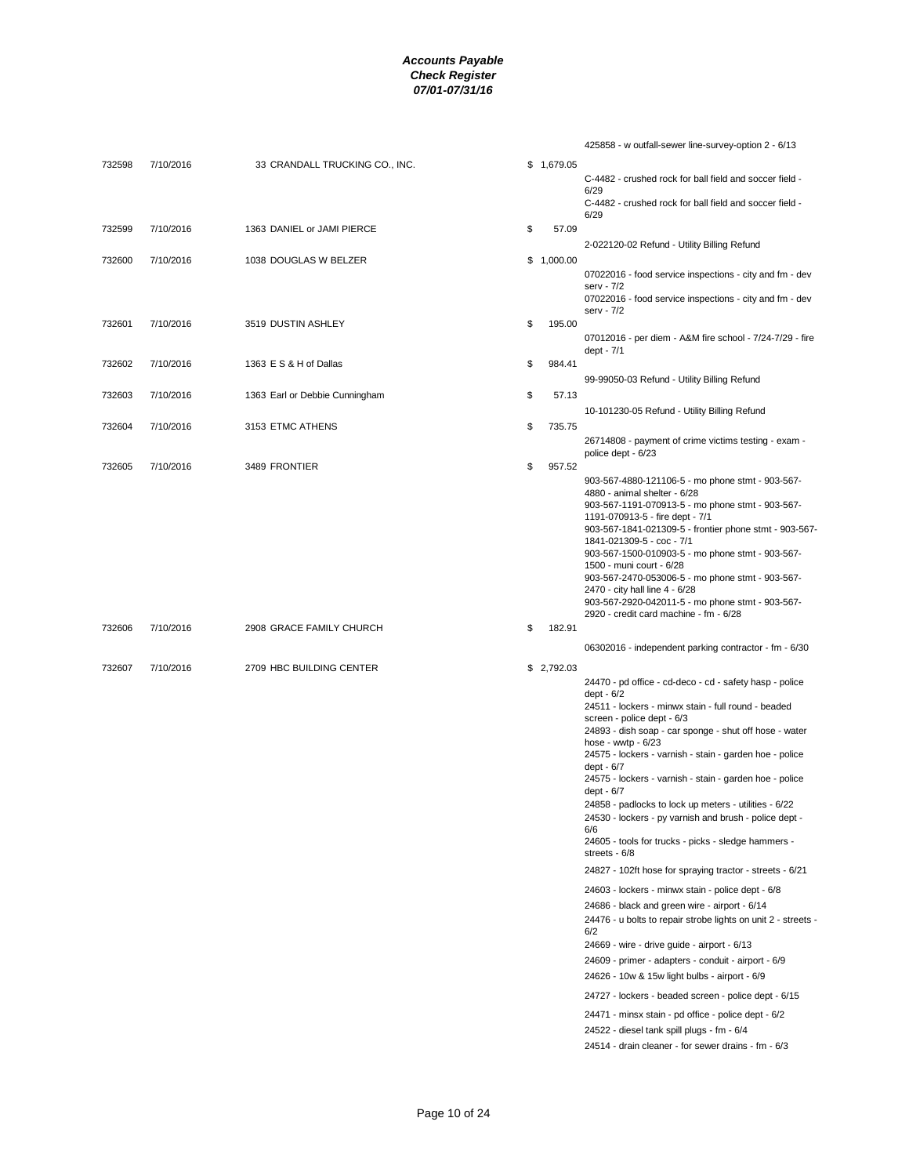|        |           |                                |              | 425858 - w outfall-sewer line-survey-option 2 - 6/13                                                                                                                                                                                                                                                                                                                                                                                                                                                                                                                                                                                                                                                                                                                                                                                                                                                                                                                                                                                                                                                                                                                                                                      |
|--------|-----------|--------------------------------|--------------|---------------------------------------------------------------------------------------------------------------------------------------------------------------------------------------------------------------------------------------------------------------------------------------------------------------------------------------------------------------------------------------------------------------------------------------------------------------------------------------------------------------------------------------------------------------------------------------------------------------------------------------------------------------------------------------------------------------------------------------------------------------------------------------------------------------------------------------------------------------------------------------------------------------------------------------------------------------------------------------------------------------------------------------------------------------------------------------------------------------------------------------------------------------------------------------------------------------------------|
| 732598 | 7/10/2016 | 33 CRANDALL TRUCKING CO., INC. | \$1,679.05   | C-4482 - crushed rock for ball field and soccer field -<br>6/29<br>C-4482 - crushed rock for ball field and soccer field -                                                                                                                                                                                                                                                                                                                                                                                                                                                                                                                                                                                                                                                                                                                                                                                                                                                                                                                                                                                                                                                                                                |
| 732599 | 7/10/2016 | 1363 DANIEL or JAMI PIERCE     | \$<br>57.09  | 6/29                                                                                                                                                                                                                                                                                                                                                                                                                                                                                                                                                                                                                                                                                                                                                                                                                                                                                                                                                                                                                                                                                                                                                                                                                      |
|        |           |                                |              | 2-022120-02 Refund - Utility Billing Refund                                                                                                                                                                                                                                                                                                                                                                                                                                                                                                                                                                                                                                                                                                                                                                                                                                                                                                                                                                                                                                                                                                                                                                               |
| 732600 | 7/10/2016 | 1038 DOUGLAS W BELZER          | \$1,000.00   | 07022016 - food service inspections - city and fm - dev<br>serv - 7/2<br>07022016 - food service inspections - city and fm - dev                                                                                                                                                                                                                                                                                                                                                                                                                                                                                                                                                                                                                                                                                                                                                                                                                                                                                                                                                                                                                                                                                          |
|        |           |                                |              | serv - 7/2                                                                                                                                                                                                                                                                                                                                                                                                                                                                                                                                                                                                                                                                                                                                                                                                                                                                                                                                                                                                                                                                                                                                                                                                                |
| 732601 | 7/10/2016 | 3519 DUSTIN ASHLEY             | \$<br>195.00 | 07012016 - per diem - A&M fire school - 7/24-7/29 - fire<br>dept - 7/1                                                                                                                                                                                                                                                                                                                                                                                                                                                                                                                                                                                                                                                                                                                                                                                                                                                                                                                                                                                                                                                                                                                                                    |
| 732602 | 7/10/2016 | 1363 E S & H of Dallas         | \$<br>984.41 |                                                                                                                                                                                                                                                                                                                                                                                                                                                                                                                                                                                                                                                                                                                                                                                                                                                                                                                                                                                                                                                                                                                                                                                                                           |
|        |           |                                |              | 99-99050-03 Refund - Utility Billing Refund                                                                                                                                                                                                                                                                                                                                                                                                                                                                                                                                                                                                                                                                                                                                                                                                                                                                                                                                                                                                                                                                                                                                                                               |
| 732603 | 7/10/2016 | 1363 Earl or Debbie Cunningham | \$<br>57.13  |                                                                                                                                                                                                                                                                                                                                                                                                                                                                                                                                                                                                                                                                                                                                                                                                                                                                                                                                                                                                                                                                                                                                                                                                                           |
| 732604 | 7/10/2016 | 3153 ETMC ATHENS               | \$<br>735.75 | 10-101230-05 Refund - Utility Billing Refund                                                                                                                                                                                                                                                                                                                                                                                                                                                                                                                                                                                                                                                                                                                                                                                                                                                                                                                                                                                                                                                                                                                                                                              |
| 732605 | 7/10/2016 | 3489 FRONTIER                  | \$<br>957.52 | 26714808 - payment of crime victims testing - exam -<br>police dept - 6/23                                                                                                                                                                                                                                                                                                                                                                                                                                                                                                                                                                                                                                                                                                                                                                                                                                                                                                                                                                                                                                                                                                                                                |
|        |           |                                |              | 903-567-4880-121106-5 - mo phone stmt - 903-567-<br>4880 - animal shelter - 6/28<br>903-567-1191-070913-5 - mo phone stmt - 903-567-<br>1191-070913-5 - fire dept - 7/1<br>903-567-1841-021309-5 - frontier phone stmt - 903-567-<br>1841-021309-5 - coc - 7/1<br>903-567-1500-010903-5 - mo phone stmt - 903-567-<br>1500 - muni court - 6/28<br>903-567-2470-053006-5 - mo phone stmt - 903-567-<br>2470 - city hall line 4 - 6/28<br>903-567-2920-042011-5 - mo phone stmt - 903-567-<br>2920 - credit card machine - fm - 6/28                                                                                                                                                                                                                                                                                                                                                                                                                                                                                                                                                                                                                                                                                        |
| 732606 | 7/10/2016 | 2908 GRACE FAMILY CHURCH       | \$<br>182.91 |                                                                                                                                                                                                                                                                                                                                                                                                                                                                                                                                                                                                                                                                                                                                                                                                                                                                                                                                                                                                                                                                                                                                                                                                                           |
|        |           |                                |              | 06302016 - independent parking contractor - fm - 6/30                                                                                                                                                                                                                                                                                                                                                                                                                                                                                                                                                                                                                                                                                                                                                                                                                                                                                                                                                                                                                                                                                                                                                                     |
| 732607 | 7/10/2016 | 2709 HBC BUILDING CENTER       | \$2,792.03   | 24470 - pd office - cd-deco - cd - safety hasp - police<br>dept - $6/2$<br>24511 - lockers - minwx stain - full round - beaded<br>screen - police dept - 6/3<br>24893 - dish soap - car sponge - shut off hose - water<br>hose - wwtp - $6/23$<br>24575 - lockers - varnish - stain - garden hoe - police<br>dept - 6/7<br>24575 - lockers - varnish - stain - garden hoe - police<br>dept - $6/7$<br>24858 - padlocks to lock up meters - utilities - 6/22<br>24530 - lockers - py varnish and brush - police dept -<br>6/6<br>24605 - tools for trucks - picks - sledge hammers -<br>streets - 6/8<br>24827 - 102ft hose for spraying tractor - streets - 6/21<br>24603 - lockers - minwx stain - police dept - 6/8<br>24686 - black and green wire - airport - 6/14<br>24476 - u bolts to repair strobe lights on unit 2 - streets -<br>6/2<br>24669 - wire - drive guide - airport - 6/13<br>24609 - primer - adapters - conduit - airport - 6/9<br>24626 - 10w & 15w light bulbs - airport - 6/9<br>24727 - lockers - beaded screen - police dept - 6/15<br>24471 - minsx stain - pd office - police dept - 6/2<br>24522 - diesel tank spill plugs - fm - 6/4<br>24514 - drain cleaner - for sewer drains - fm - 6/3 |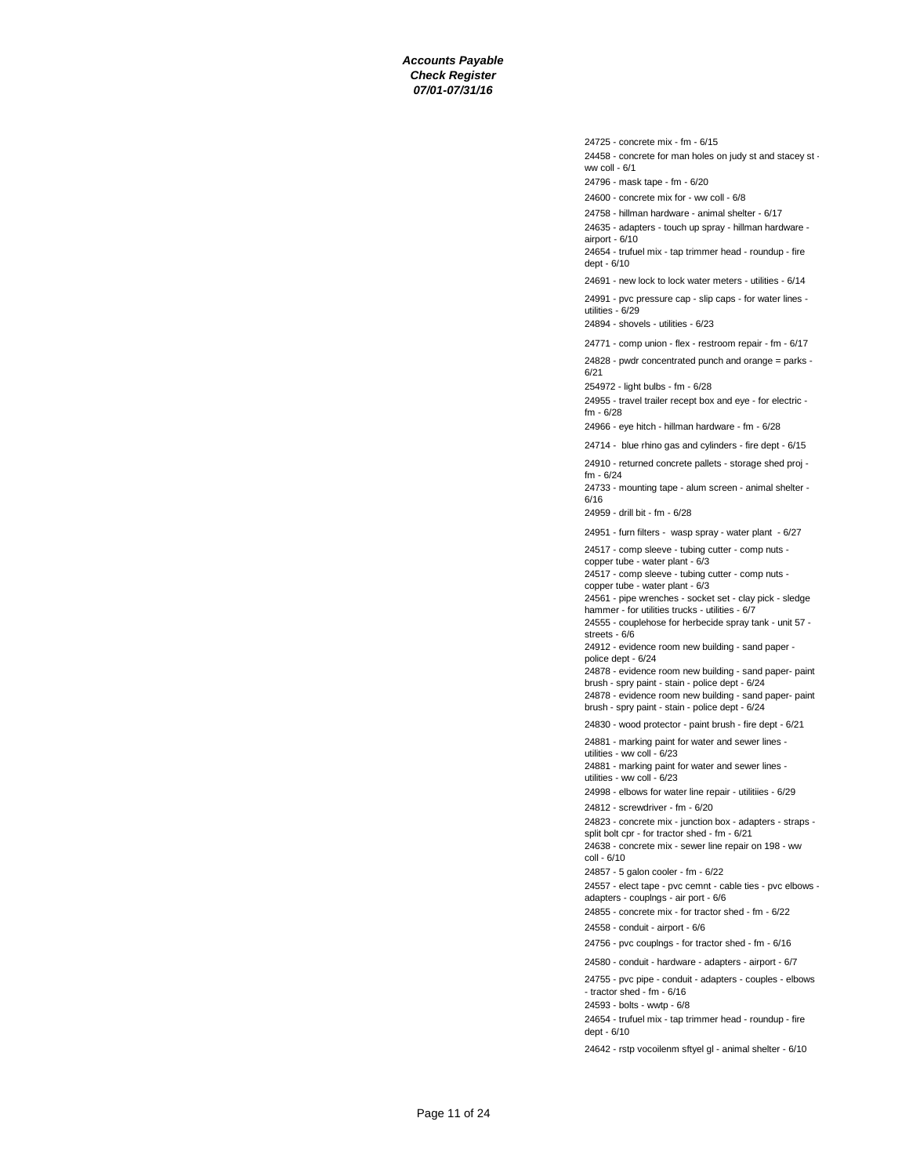24725 - concrete mix - fm - 6/15

24458 - concrete for man holes on judy st and stacey st ww coll - 6/1

24796 - mask tape - fm - 6/20

24600 - concrete mix for - ww coll - 6/8

24758 - hillman hardware - animal shelter - 6/17

24635 - adapters - touch up spray - hillman hardware airport - 6/10

24654 - trufuel mix - tap trimmer head - roundup - fire dept - 6/10

24691 - new lock to lock water meters - utilities - 6/14

24991 - pvc pressure cap - slip caps - for water lines utilities - 6/29

24894 - shovels - utilities - 6/23

24771 - comp union - flex - restroom repair - fm - 6/17

24828 - pwdr concentrated punch and orange = parks - 6/21

254972 - light bulbs - fm - 6/28

24955 - travel trailer recept box and eye - for electric fm - 6/28

24966 - eye hitch - hillman hardware - fm - 6/28

24714 - blue rhino gas and cylinders - fire dept - 6/15

24910 - returned concrete pallets - storage shed proj fm - 6/24

24733 - mounting tape - alum screen - animal shelter - 6/16

24959 - drill bit - fm - 6/28

24951 - furn filters - wasp spray - water plant - 6/27

24517 - comp sleeve - tubing cutter - comp nuts -

copper tube - water plant - 6/3 24517 - comp sleeve - tubing cutter - comp nuts -

copper tube - water plant - 6/3

24561 - pipe wrenches - socket set - clay pick - sledge hammer - for utilities trucks - utilities - 6/7

24555 - couplehose for herbecide spray tank - unit 57 streets - 6/6

24912 - evidence room new building - sand paper police dept - 6/24

24878 - evidence room new building - sand paper- paint

brush - spry paint - stain - police dept - 6/24 24878 - evidence room new building - sand paper- paint

brush - spry paint - stain - police dept - 6/24

24830 - wood protector - paint brush - fire dept - 6/21

24881 - marking paint for water and sewer lines -

utilities - ww coll - 6/23

24881 - marking paint for water and sewer lines utilities - ww coll - 6/23

24998 - elbows for water line repair - utilitiies - 6/29

24812 - screwdriver - fm - 6/20

24823 - concrete mix - junction box - adapters - straps split bolt cpr - for tractor shed - fm - 6/21 24638 - concrete mix - sewer line repair on 198 - ww

coll - 6/10

24857 - 5 galon cooler - fm - 6/22

24557 - elect tape - pvc cemnt - cable ties - pvc elbows adapters - couplngs - air port - 6/6

24855 - concrete mix - for tractor shed - fm - 6/22

24558 - conduit - airport - 6/6

24756 - pvc couplngs - for tractor shed - fm - 6/16

24580 - conduit - hardware - adapters - airport - 6/7

24755 - pvc pipe - conduit - adapters - couples - elbows - tractor shed - fm - 6/16

24593 - bolts - wwtp - 6/8

24654 - trufuel mix - tap trimmer head - roundup - fire dept - 6/10

24642 - rstp vocoilenm sftyel gl - animal shelter - 6/10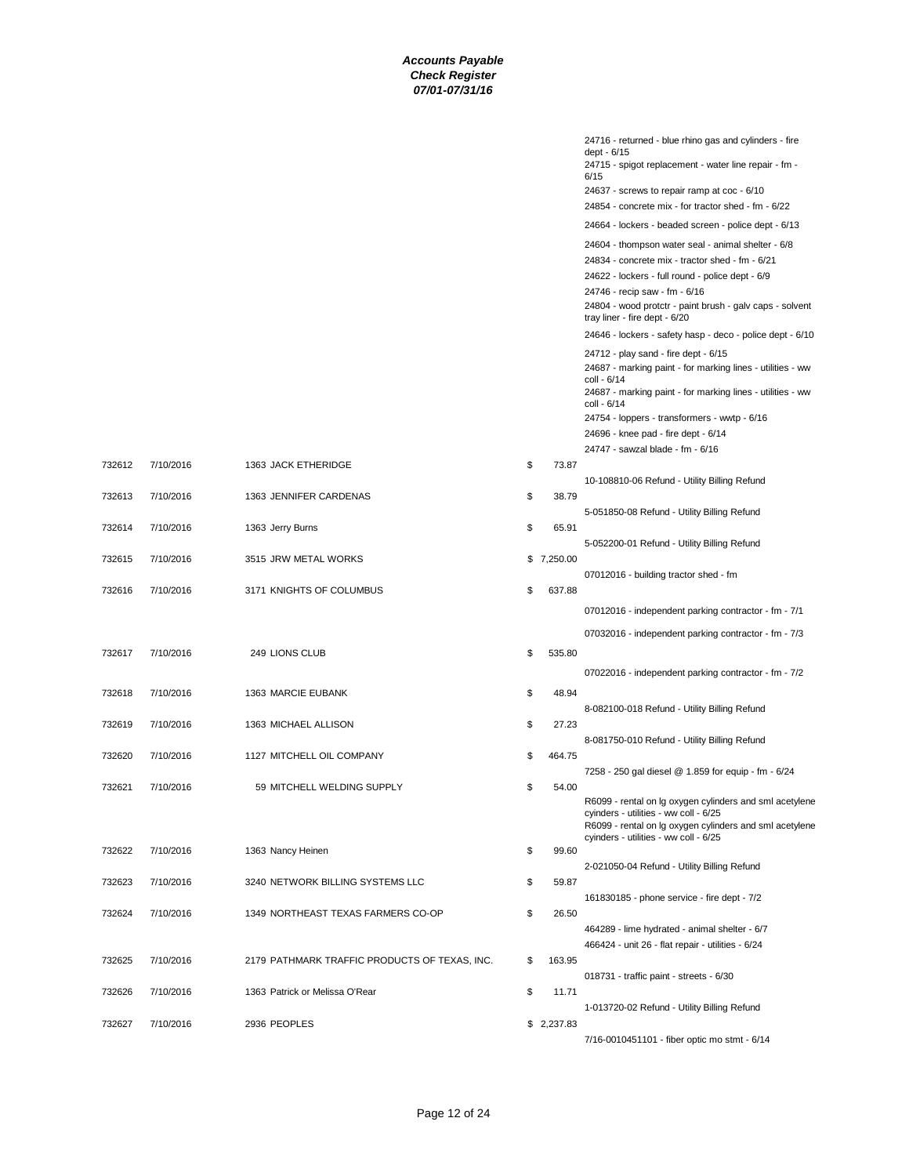24716 - returned - blue rhino gas and cylinders - fire

dept - 6/15

|        |           |                                               |                | 24715 - spigot replacement - water line repair - fm -<br>6/15<br>24637 - screws to repair ramp at coc - 6/10<br>24854 - concrete mix - for tractor shed - fm - 6/22<br>24664 - lockers - beaded screen - police dept - 6/13<br>24604 - thompson water seal - animal shelter - 6/8<br>24834 - concrete mix - tractor shed - fm - 6/21<br>24622 - lockers - full round - police dept - 6/9<br>24746 - recip saw - fm - 6/16<br>24804 - wood protctr - paint brush - galv caps - solvent<br>tray liner - fire dept - 6/20<br>24646 - lockers - safety hasp - deco - police dept - 6/10<br>24712 - play sand - fire dept - 6/15<br>24687 - marking paint - for marking lines - utilities - ww<br>coll - 6/14 |
|--------|-----------|-----------------------------------------------|----------------|----------------------------------------------------------------------------------------------------------------------------------------------------------------------------------------------------------------------------------------------------------------------------------------------------------------------------------------------------------------------------------------------------------------------------------------------------------------------------------------------------------------------------------------------------------------------------------------------------------------------------------------------------------------------------------------------------------|
|        |           |                                               |                | 24687 - marking paint - for marking lines - utilities - ww<br>coll - 6/14<br>24754 - loppers - transformers - wwtp - 6/16                                                                                                                                                                                                                                                                                                                                                                                                                                                                                                                                                                                |
|        |           |                                               |                | 24696 - knee pad - fire dept - 6/14                                                                                                                                                                                                                                                                                                                                                                                                                                                                                                                                                                                                                                                                      |
|        |           |                                               |                | 24747 - sawzal blade - fm - 6/16                                                                                                                                                                                                                                                                                                                                                                                                                                                                                                                                                                                                                                                                         |
| 732612 | 7/10/2016 | 1363 JACK ETHERIDGE                           | \$<br>73.87    |                                                                                                                                                                                                                                                                                                                                                                                                                                                                                                                                                                                                                                                                                                          |
|        |           |                                               |                | 10-108810-06 Refund - Utility Billing Refund                                                                                                                                                                                                                                                                                                                                                                                                                                                                                                                                                                                                                                                             |
| 732613 | 7/10/2016 | 1363 JENNIFER CARDENAS                        | \$<br>38.79    |                                                                                                                                                                                                                                                                                                                                                                                                                                                                                                                                                                                                                                                                                                          |
|        |           |                                               |                | 5-051850-08 Refund - Utility Billing Refund                                                                                                                                                                                                                                                                                                                                                                                                                                                                                                                                                                                                                                                              |
| 732614 | 7/10/2016 | 1363 Jerry Burns                              | \$<br>65.91    |                                                                                                                                                                                                                                                                                                                                                                                                                                                                                                                                                                                                                                                                                                          |
|        |           |                                               |                | 5-052200-01 Refund - Utility Billing Refund                                                                                                                                                                                                                                                                                                                                                                                                                                                                                                                                                                                                                                                              |
| 732615 | 7/10/2016 | 3515 JRW METAL WORKS                          | \$<br>7,250.00 |                                                                                                                                                                                                                                                                                                                                                                                                                                                                                                                                                                                                                                                                                                          |
|        |           |                                               |                |                                                                                                                                                                                                                                                                                                                                                                                                                                                                                                                                                                                                                                                                                                          |
|        |           |                                               |                | 07012016 - building tractor shed - fm                                                                                                                                                                                                                                                                                                                                                                                                                                                                                                                                                                                                                                                                    |
| 732616 | 7/10/2016 | 3171 KNIGHTS OF COLUMBUS                      | \$<br>637.88   |                                                                                                                                                                                                                                                                                                                                                                                                                                                                                                                                                                                                                                                                                                          |
|        |           |                                               |                | 07012016 - independent parking contractor - fm - 7/1                                                                                                                                                                                                                                                                                                                                                                                                                                                                                                                                                                                                                                                     |
|        |           |                                               |                |                                                                                                                                                                                                                                                                                                                                                                                                                                                                                                                                                                                                                                                                                                          |
|        |           |                                               |                | 07032016 - independent parking contractor - fm - 7/3                                                                                                                                                                                                                                                                                                                                                                                                                                                                                                                                                                                                                                                     |
| 732617 | 7/10/2016 | 249 LIONS CLUB                                | \$<br>535.80   |                                                                                                                                                                                                                                                                                                                                                                                                                                                                                                                                                                                                                                                                                                          |
|        |           |                                               |                |                                                                                                                                                                                                                                                                                                                                                                                                                                                                                                                                                                                                                                                                                                          |
|        |           |                                               |                | 07022016 - independent parking contractor - fm - 7/2                                                                                                                                                                                                                                                                                                                                                                                                                                                                                                                                                                                                                                                     |
| 732618 | 7/10/2016 | 1363 MARCIE EUBANK                            | \$<br>48.94    |                                                                                                                                                                                                                                                                                                                                                                                                                                                                                                                                                                                                                                                                                                          |
|        |           |                                               |                | 8-082100-018 Refund - Utility Billing Refund                                                                                                                                                                                                                                                                                                                                                                                                                                                                                                                                                                                                                                                             |
| 732619 | 7/10/2016 | 1363 MICHAEL ALLISON                          | \$<br>27.23    |                                                                                                                                                                                                                                                                                                                                                                                                                                                                                                                                                                                                                                                                                                          |
|        |           |                                               |                | 8-081750-010 Refund - Utility Billing Refund                                                                                                                                                                                                                                                                                                                                                                                                                                                                                                                                                                                                                                                             |
| 732620 | 7/10/2016 | 1127 MITCHELL OIL COMPANY                     | \$<br>464.75   |                                                                                                                                                                                                                                                                                                                                                                                                                                                                                                                                                                                                                                                                                                          |
|        |           |                                               |                | 7258 - 250 gal diesel @ 1.859 for equip - fm - 6/24                                                                                                                                                                                                                                                                                                                                                                                                                                                                                                                                                                                                                                                      |
| 732621 | 7/10/2016 | 59 MITCHELL WELDING SUPPLY                    | \$<br>54.00    |                                                                                                                                                                                                                                                                                                                                                                                                                                                                                                                                                                                                                                                                                                          |
|        |           |                                               |                | R6099 - rental on Ig oxygen cylinders and sml acetylene<br>cyinders - utilities - ww coll - 6/25<br>R6099 - rental on Ig oxygen cylinders and sml acetylene<br>cyinders - utilities - ww coll - 6/25                                                                                                                                                                                                                                                                                                                                                                                                                                                                                                     |
| 732622 | 7/10/2016 | 1363 Nancy Heinen                             | \$<br>99.60    |                                                                                                                                                                                                                                                                                                                                                                                                                                                                                                                                                                                                                                                                                                          |
|        |           |                                               |                | 2-021050-04 Refund - Utility Billing Refund                                                                                                                                                                                                                                                                                                                                                                                                                                                                                                                                                                                                                                                              |
|        |           |                                               |                |                                                                                                                                                                                                                                                                                                                                                                                                                                                                                                                                                                                                                                                                                                          |
| 732623 | 7/10/2016 | 3240 NETWORK BILLING SYSTEMS LLC              | \$<br>59.87    |                                                                                                                                                                                                                                                                                                                                                                                                                                                                                                                                                                                                                                                                                                          |
|        |           |                                               |                | 161830185 - phone service - fire dept - 7/2                                                                                                                                                                                                                                                                                                                                                                                                                                                                                                                                                                                                                                                              |
| 732624 | 7/10/2016 | 1349 NORTHEAST TEXAS FARMERS CO-OP            | \$<br>26.50    |                                                                                                                                                                                                                                                                                                                                                                                                                                                                                                                                                                                                                                                                                                          |
|        |           |                                               |                | 464289 - lime hydrated - animal shelter - 6/7                                                                                                                                                                                                                                                                                                                                                                                                                                                                                                                                                                                                                                                            |
|        |           |                                               |                | 466424 - unit 26 - flat repair - utilities - 6/24                                                                                                                                                                                                                                                                                                                                                                                                                                                                                                                                                                                                                                                        |
| 732625 | 7/10/2016 | 2179 PATHMARK TRAFFIC PRODUCTS OF TEXAS, INC. | \$<br>163.95   |                                                                                                                                                                                                                                                                                                                                                                                                                                                                                                                                                                                                                                                                                                          |
|        |           |                                               |                | 018731 - traffic paint - streets - 6/30                                                                                                                                                                                                                                                                                                                                                                                                                                                                                                                                                                                                                                                                  |
| 732626 | 7/10/2016 | 1363 Patrick or Melissa O'Rear                | \$<br>11.71    |                                                                                                                                                                                                                                                                                                                                                                                                                                                                                                                                                                                                                                                                                                          |
|        |           |                                               |                | 1-013720-02 Refund - Utility Billing Refund                                                                                                                                                                                                                                                                                                                                                                                                                                                                                                                                                                                                                                                              |
| 732627 | 7/10/2016 | 2936 PEOPLES                                  | \$2,237.83     |                                                                                                                                                                                                                                                                                                                                                                                                                                                                                                                                                                                                                                                                                                          |
|        |           |                                               |                |                                                                                                                                                                                                                                                                                                                                                                                                                                                                                                                                                                                                                                                                                                          |
|        |           |                                               |                | 7/16-0010451101 - fiber optic mo stmt - 6/14                                                                                                                                                                                                                                                                                                                                                                                                                                                                                                                                                                                                                                                             |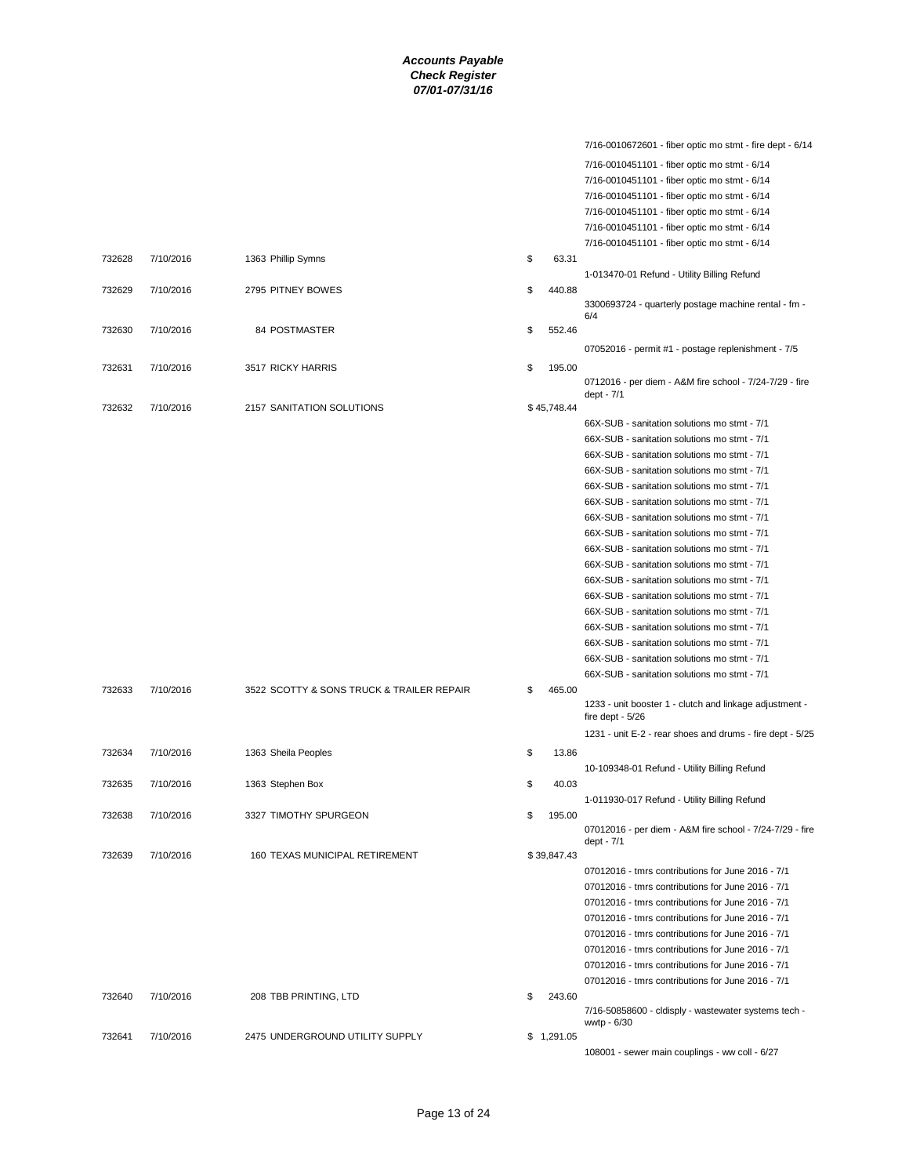|        |           |                                           |              | 7/16-0010672601 - fiber optic mo stmt - fire dept - 6/14  |
|--------|-----------|-------------------------------------------|--------------|-----------------------------------------------------------|
|        |           |                                           |              | 7/16-0010451101 - fiber optic mo stmt - 6/14              |
|        |           |                                           |              | 7/16-0010451101 - fiber optic mo stmt - 6/14              |
|        |           |                                           |              | 7/16-0010451101 - fiber optic mo stmt - 6/14              |
|        |           |                                           |              | 7/16-0010451101 - fiber optic mo stmt - 6/14              |
|        |           |                                           |              | 7/16-0010451101 - fiber optic mo stmt - 6/14              |
|        |           |                                           |              | 7/16-0010451101 - fiber optic mo stmt - 6/14              |
| 732628 | 7/10/2016 | 1363 Phillip Symns                        | \$<br>63.31  |                                                           |
|        |           |                                           |              | 1-013470-01 Refund - Utility Billing Refund               |
| 732629 | 7/10/2016 | 2795 PITNEY BOWES                         | \$<br>440.88 |                                                           |
|        |           |                                           |              | 3300693724 - quarterly postage machine rental - fm -      |
|        |           |                                           |              | 6/4                                                       |
| 732630 | 7/10/2016 | <b>84 POSTMASTER</b>                      | \$<br>552.46 |                                                           |
|        |           |                                           |              | 07052016 - permit #1 - postage replenishment - 7/5        |
| 732631 | 7/10/2016 | 3517 RICKY HARRIS                         | \$<br>195.00 |                                                           |
|        |           |                                           |              | 0712016 - per diem - A&M fire school - 7/24-7/29 - fire   |
|        |           |                                           |              | dept - 7/1                                                |
| 732632 | 7/10/2016 | 2157 SANITATION SOLUTIONS                 | \$45,748.44  |                                                           |
|        |           |                                           |              | 66X-SUB - sanitation solutions mo stmt - 7/1              |
|        |           |                                           |              | 66X-SUB - sanitation solutions mo stmt - 7/1              |
|        |           |                                           |              | 66X-SUB - sanitation solutions mo stmt - 7/1              |
|        |           |                                           |              | 66X-SUB - sanitation solutions mo stmt - 7/1              |
|        |           |                                           |              | 66X-SUB - sanitation solutions mo stmt - 7/1              |
|        |           |                                           |              | 66X-SUB - sanitation solutions mo stmt - 7/1              |
|        |           |                                           |              | 66X-SUB - sanitation solutions mo stmt - 7/1              |
|        |           |                                           |              | 66X-SUB - sanitation solutions mo stmt - 7/1              |
|        |           |                                           |              | 66X-SUB - sanitation solutions mo stmt - 7/1              |
|        |           |                                           |              |                                                           |
|        |           |                                           |              | 66X-SUB - sanitation solutions mo stmt - 7/1              |
|        |           |                                           |              | 66X-SUB - sanitation solutions mo stmt - 7/1              |
|        |           |                                           |              | 66X-SUB - sanitation solutions mo stmt - 7/1              |
|        |           |                                           |              | 66X-SUB - sanitation solutions mo stmt - 7/1              |
|        |           |                                           |              | 66X-SUB - sanitation solutions mo stmt - 7/1              |
|        |           |                                           |              | 66X-SUB - sanitation solutions mo stmt - 7/1              |
|        |           |                                           |              | 66X-SUB - sanitation solutions mo stmt - 7/1              |
|        |           |                                           |              | 66X-SUB - sanitation solutions mo stmt - 7/1              |
| 732633 | 7/10/2016 | 3522 SCOTTY & SONS TRUCK & TRAILER REPAIR | \$<br>465.00 |                                                           |
|        |           |                                           |              | 1233 - unit booster 1 - clutch and linkage adjustment -   |
|        |           |                                           |              | fire dept - 5/26                                          |
|        |           |                                           |              | 1231 - unit E-2 - rear shoes and drums - fire dept - 5/25 |
| 732634 | 7/10/2016 | 1363 Sheila Peoples                       | \$<br>13.86  |                                                           |
|        |           |                                           |              | 10-109348-01 Refund - Utility Billing Refund              |
| 732635 | 7/10/2016 | 1363 Stephen Box                          | \$<br>40.03  |                                                           |
|        |           |                                           |              | 1-011930-017 Refund - Utility Billing Refund              |
| 732638 | 7/10/2016 | 3327 TIMOTHY SPURGEON                     | \$<br>195.00 |                                                           |
|        |           |                                           |              | 07012016 - per diem - A&M fire school - 7/24-7/29 - fire  |
|        |           |                                           |              | dept - 7/1                                                |
| 732639 | 7/10/2016 | 160 TEXAS MUNICIPAL RETIREMENT            | \$39,847.43  |                                                           |
|        |           |                                           |              | 07012016 - tmrs contributions for June 2016 - 7/1         |
|        |           |                                           |              | 07012016 - tmrs contributions for June 2016 - 7/1         |
|        |           |                                           |              | 07012016 - tmrs contributions for June 2016 - 7/1         |
|        |           |                                           |              | 07012016 - tmrs contributions for June 2016 - 7/1         |
|        |           |                                           |              | 07012016 - tmrs contributions for June 2016 - 7/1         |
|        |           |                                           |              | 07012016 - tmrs contributions for June 2016 - 7/1         |
|        |           |                                           |              | 07012016 - tmrs contributions for June 2016 - 7/1         |
|        |           |                                           |              | 07012016 - tmrs contributions for June 2016 - 7/1         |
| 732640 | 7/10/2016 | 208 TBB PRINTING, LTD                     | \$<br>243.60 |                                                           |
|        |           |                                           |              | 7/16-50858600 - cldisply - wastewater systems tech -      |
|        |           |                                           |              | wwtp - 6/30                                               |
| 732641 | 7/10/2016 | 2475 UNDERGROUND UTILITY SUPPLY           | \$1,291.05   |                                                           |
|        |           |                                           |              | 108001 - sewer main couplings - ww coll - 6/27            |
|        |           |                                           |              |                                                           |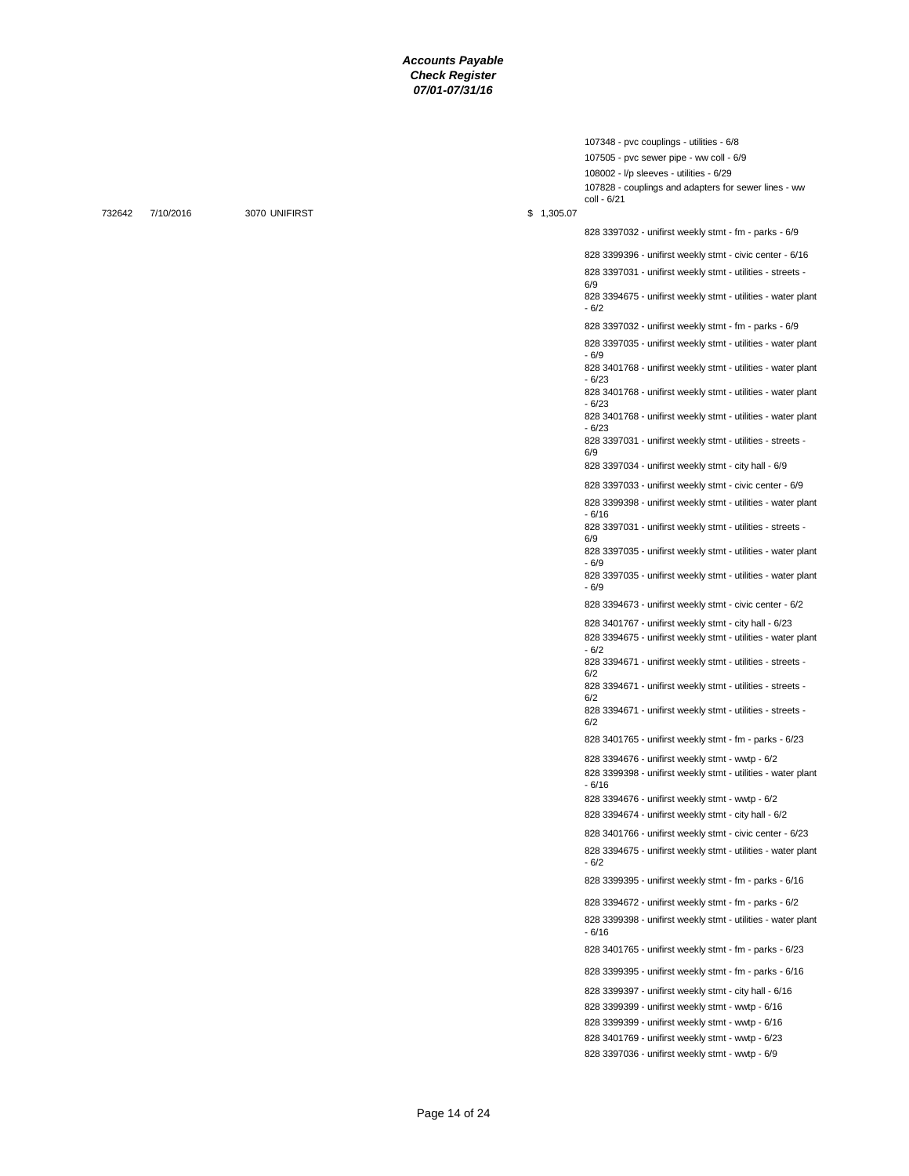107348 - pvc couplings - utilities - 6/8 107505 - pvc sewer pipe - ww coll - 6/9 108002 - l/p sleeves - utilities - 6/29 107828 - couplings and adapters for sewer lines - ww coll - 6/21

732642 7/10/2016 3070 UNIFIRST \$ 1,305.07

 $6/9$ 

6/2

828 3397032 - unifirst weekly stmt - fm - parks - 6/9

828 3399396 - unifirst weekly stmt - civic center - 6/16

828 3397031 - unifirst weekly stmt - utilities - streets -

828 3394675 - unifirst weekly stmt - utilities - water plant - 6/2

828 3397032 - unifirst weekly stmt - fm - parks - 6/9

828 3397035 - unifirst weekly stmt - utilities - water plant - 6/9

828 3401768 - unifirst weekly stmt - utilities - water plant - 6/23

828 3401768 - unifirst weekly stmt - utilities - water plant - 6/23

828 3401768 - unifirst weekly stmt - utilities - water plant - 6/23

828 3397031 - unifirst weekly stmt - utilities - streets - 6/9

828 3397034 - unifirst weekly stmt - city hall - 6/9

828 3397033 - unifirst weekly stmt - civic center - 6/9 828 3399398 - unifirst weekly stmt - utilities - water plant

- 6/16

828 3397031 - unifirst weekly stmt - utilities - streets - 6/9

828 3397035 - unifirst weekly stmt - utilities - water plant

- 6/9 828 3397035 - unifirst weekly stmt - utilities - water plant - 6/9

828 3394673 - unifirst weekly stmt - civic center - 6/2

828 3401767 - unifirst weekly stmt - city hall - 6/23

828 3394675 - unifirst weekly stmt - utilities - water plant - 6/2

828 3394671 - unifirst weekly stmt - utilities - streets -

828 3394671 - unifirst weekly stmt - utilities - streets -

6/2 828 3394671 - unifirst weekly stmt - utilities - streets - 6/2

828 3401765 - unifirst weekly stmt - fm - parks - 6/23

828 3394676 - unifirst weekly stmt - wwtp - 6/2

828 3399398 - unifirst weekly stmt - utilities - water plant - 6/16

828 3394676 - unifirst weekly stmt - wwtp - 6/2

828 3394674 - unifirst weekly stmt - city hall - 6/2

828 3401766 - unifirst weekly stmt - civic center - 6/23

828 3394675 - unifirst weekly stmt - utilities - water plant - 6/2

828 3399395 - unifirst weekly stmt - fm - parks - 6/16

828 3394672 - unifirst weekly stmt - fm - parks - 6/2 828 3399398 - unifirst weekly stmt - utilities - water plant - 6/16

828 3401765 - unifirst weekly stmt - fm - parks - 6/23

828 3399395 - unifirst weekly stmt - fm - parks - 6/16

828 3399397 - unifirst weekly stmt - city hall - 6/16

828 3399399 - unifirst weekly stmt - wwtp - 6/16

828 3399399 - unifirst weekly stmt - wwtp - 6/16

828 3401769 - unifirst weekly stmt - wwtp - 6/23

828 3397036 - unifirst weekly stmt - wwtp - 6/9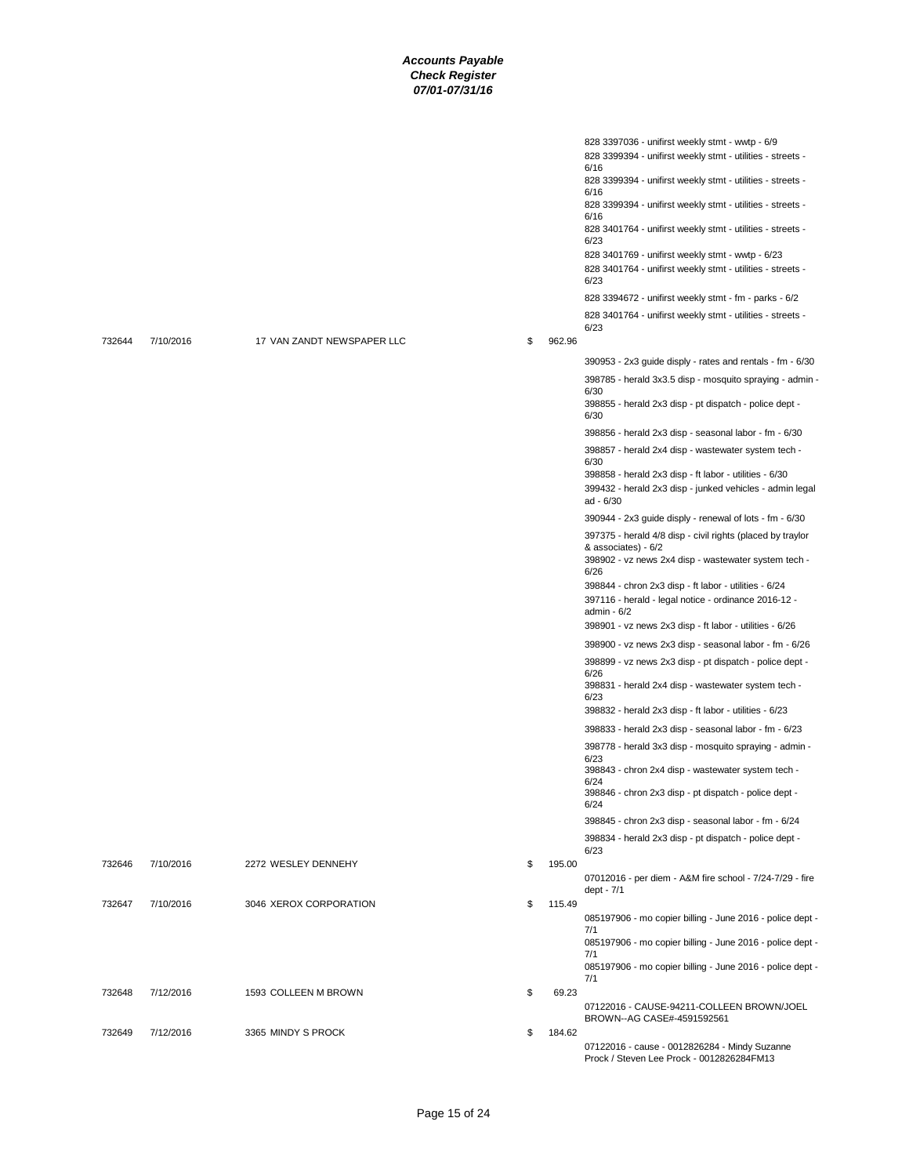|        |           |                            |              | 828 3397036 - unifirst weekly stmt - wwtp - 6/9<br>828 3399394 - unifirst weekly stmt - utilities - streets -<br>6/16<br>828 3399394 - unifirst weekly stmt - utilities - streets -<br>6/16<br>828 3399394 - unifirst weekly stmt - utilities - streets -<br>6/16<br>828 3401764 - unifirst weekly stmt - utilities - streets -<br>6/23<br>828 3401769 - unifirst weekly stmt - wwtp - 6/23<br>828 3401764 - unifirst weekly stmt - utilities - streets -<br>6/23<br>828 3394672 - unifirst weekly stmt - fm - parks - 6/2<br>828 3401764 - unifirst weekly stmt - utilities - streets -<br>6/23 |
|--------|-----------|----------------------------|--------------|--------------------------------------------------------------------------------------------------------------------------------------------------------------------------------------------------------------------------------------------------------------------------------------------------------------------------------------------------------------------------------------------------------------------------------------------------------------------------------------------------------------------------------------------------------------------------------------------------|
| 732644 | 7/10/2016 | 17 VAN ZANDT NEWSPAPER LLC | \$<br>962.96 |                                                                                                                                                                                                                                                                                                                                                                                                                                                                                                                                                                                                  |
|        |           |                            |              | 390953 - 2x3 guide disply - rates and rentals - fm - 6/30                                                                                                                                                                                                                                                                                                                                                                                                                                                                                                                                        |
|        |           |                            |              | 398785 - herald 3x3.5 disp - mosquito spraying - admin -                                                                                                                                                                                                                                                                                                                                                                                                                                                                                                                                         |
|        |           |                            |              | 6/30<br>398855 - herald 2x3 disp - pt dispatch - police dept -<br>6/30                                                                                                                                                                                                                                                                                                                                                                                                                                                                                                                           |
|        |           |                            |              | 398856 - herald 2x3 disp - seasonal labor - fm - 6/30                                                                                                                                                                                                                                                                                                                                                                                                                                                                                                                                            |
|        |           |                            |              | 398857 - herald 2x4 disp - wastewater system tech -<br>6/30                                                                                                                                                                                                                                                                                                                                                                                                                                                                                                                                      |
|        |           |                            |              | 398858 - herald 2x3 disp - ft labor - utilities - 6/30<br>399432 - herald 2x3 disp - junked vehicles - admin legal<br>ad - 6/30                                                                                                                                                                                                                                                                                                                                                                                                                                                                  |
|        |           |                            |              | 390944 - 2x3 guide disply - renewal of lots - fm - 6/30                                                                                                                                                                                                                                                                                                                                                                                                                                                                                                                                          |
|        |           |                            |              | 397375 - herald 4/8 disp - civil rights (placed by traylor<br>& associates) - 6/2<br>398902 - vz news 2x4 disp - wastewater system tech -<br>6/26                                                                                                                                                                                                                                                                                                                                                                                                                                                |
|        |           |                            |              | 398844 - chron 2x3 disp - ft labor - utilities - 6/24<br>397116 - herald - legal notice - ordinance 2016-12 -<br>admin - $6/2$                                                                                                                                                                                                                                                                                                                                                                                                                                                                   |
|        |           |                            |              | 398901 - vz news 2x3 disp - ft labor - utilities - 6/26                                                                                                                                                                                                                                                                                                                                                                                                                                                                                                                                          |
|        |           |                            |              | 398900 - vz news 2x3 disp - seasonal labor - fm - 6/26                                                                                                                                                                                                                                                                                                                                                                                                                                                                                                                                           |
|        |           |                            |              | 398899 - vz news 2x3 disp - pt dispatch - police dept -<br>6/26<br>398831 - herald 2x4 disp - wastewater system tech -                                                                                                                                                                                                                                                                                                                                                                                                                                                                           |
|        |           |                            |              | 6/23<br>398832 - herald 2x3 disp - ft labor - utilities - 6/23                                                                                                                                                                                                                                                                                                                                                                                                                                                                                                                                   |
|        |           |                            |              | 398833 - herald 2x3 disp - seasonal labor - fm - 6/23                                                                                                                                                                                                                                                                                                                                                                                                                                                                                                                                            |
|        |           |                            |              | 398778 - herald 3x3 disp - mosquito spraying - admin -                                                                                                                                                                                                                                                                                                                                                                                                                                                                                                                                           |
|        |           |                            |              | 6/23<br>398843 - chron 2x4 disp - wastewater system tech -<br>6/24                                                                                                                                                                                                                                                                                                                                                                                                                                                                                                                               |
|        |           |                            |              | 398846 - chron 2x3 disp - pt dispatch - police dept -<br>6/24                                                                                                                                                                                                                                                                                                                                                                                                                                                                                                                                    |
|        |           |                            |              | 398845 - chron 2x3 disp - seasonal labor - fm - 6/24                                                                                                                                                                                                                                                                                                                                                                                                                                                                                                                                             |
|        |           |                            |              | 398834 - herald 2x3 disp - pt dispatch - police dept -<br>6/23                                                                                                                                                                                                                                                                                                                                                                                                                                                                                                                                   |
| 732646 | 7/10/2016 | 2272 WESLEY DENNEHY        | \$<br>195.00 | 07012016 - per diem - A&M fire school - 7/24-7/29 - fire<br>dept - 7/1                                                                                                                                                                                                                                                                                                                                                                                                                                                                                                                           |
| 732647 | 7/10/2016 | 3046 XEROX CORPORATION     | \$<br>115.49 | 085197906 - mo copier billing - June 2016 - police dept -                                                                                                                                                                                                                                                                                                                                                                                                                                                                                                                                        |
|        |           |                            |              | 7/1<br>085197906 - mo copier billing - June 2016 - police dept -                                                                                                                                                                                                                                                                                                                                                                                                                                                                                                                                 |
|        |           |                            |              | 7/1<br>085197906 - mo copier billing - June 2016 - police dept -<br>7/1                                                                                                                                                                                                                                                                                                                                                                                                                                                                                                                          |
| 732648 | 7/12/2016 | 1593 COLLEEN M BROWN       | \$<br>69.23  | 07122016 - CAUSE-94211-COLLEEN BROWN/JOEL                                                                                                                                                                                                                                                                                                                                                                                                                                                                                                                                                        |
| 732649 | 7/12/2016 | 3365 MINDY S PROCK         | \$<br>184.62 | BROWN--AG CASE#-4591592561                                                                                                                                                                                                                                                                                                                                                                                                                                                                                                                                                                       |
|        |           |                            |              | 07122016 - cause - 0012826284 - Mindy Suzanne<br>Prock / Steven Lee Prock - 0012826284FM13                                                                                                                                                                                                                                                                                                                                                                                                                                                                                                       |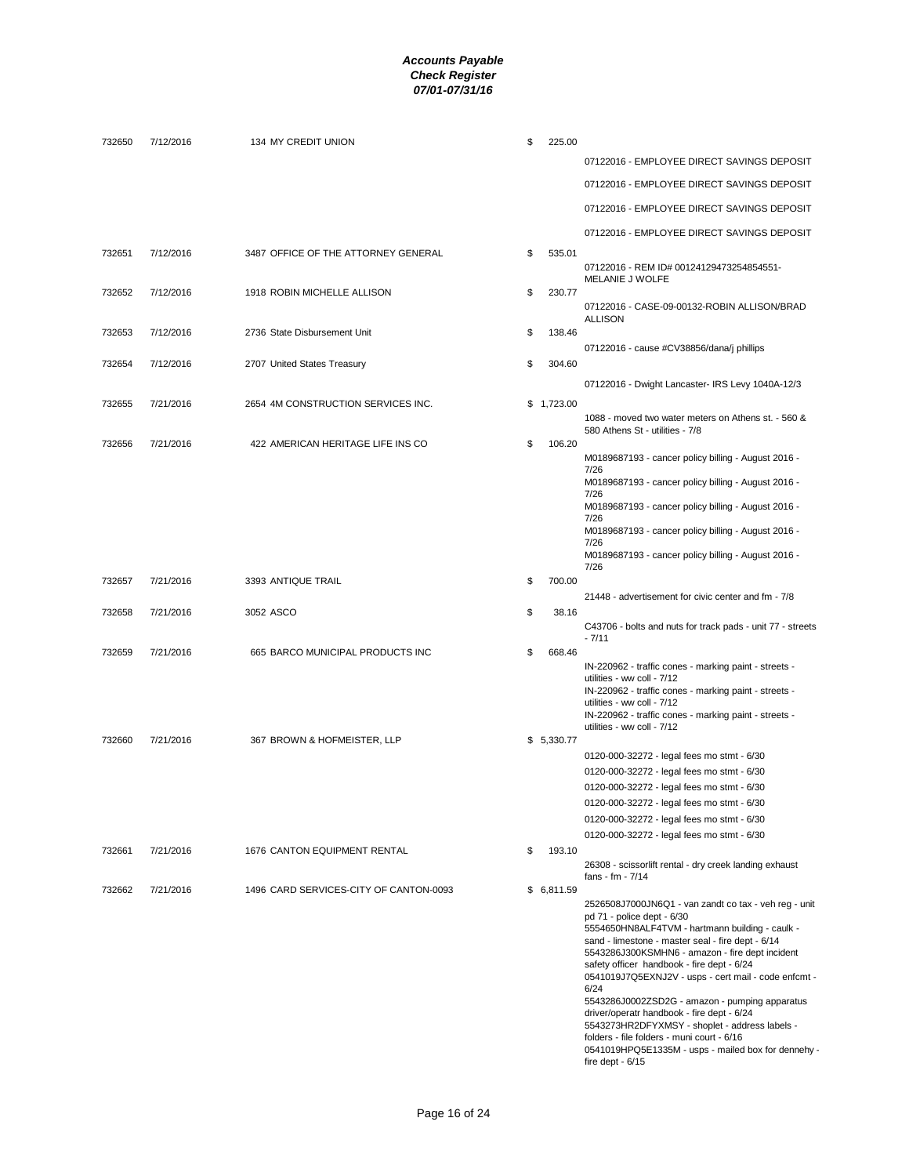| 732650 | 7/12/2016 | 134 MY CREDIT UNION                    | \$<br>225.00 |                                                                                               |
|--------|-----------|----------------------------------------|--------------|-----------------------------------------------------------------------------------------------|
|        |           |                                        |              | 07122016 - EMPLOYEE DIRECT SAVINGS DEPOSIT                                                    |
|        |           |                                        |              | 07122016 - EMPLOYEE DIRECT SAVINGS DEPOSIT                                                    |
|        |           |                                        |              | 07122016 - EMPLOYEE DIRECT SAVINGS DEPOSIT                                                    |
|        |           |                                        |              | 07122016 - EMPLOYEE DIRECT SAVINGS DEPOSIT                                                    |
| 732651 | 7/12/2016 | 3487 OFFICE OF THE ATTORNEY GENERAL    | \$<br>535.01 |                                                                                               |
|        |           |                                        |              | 07122016 - REM ID# 00124129473254854551-<br>MELANIE J WOLFE                                   |
| 732652 | 7/12/2016 | 1918 ROBIN MICHELLE ALLISON            | \$<br>230.77 | 07122016 - CASE-09-00132-ROBIN ALLISON/BRAD                                                   |
| 732653 | 7/12/2016 | 2736 State Disbursement Unit           | \$<br>138.46 | <b>ALLISON</b>                                                                                |
|        |           |                                        |              | 07122016 - cause #CV38856/dana/j phillips                                                     |
| 732654 | 7/12/2016 | 2707 United States Treasury            | \$<br>304.60 |                                                                                               |
|        |           |                                        |              | 07122016 - Dwight Lancaster- IRS Levy 1040A-12/3                                              |
| 732655 | 7/21/2016 | 2654 4M CONSTRUCTION SERVICES INC.     | \$1,723.00   |                                                                                               |
|        |           |                                        |              | 1088 - moved two water meters on Athens st. - 560 &<br>580 Athens St - utilities - 7/8        |
| 732656 | 7/21/2016 | 422 AMERICAN HERITAGE LIFE INS CO      | \$<br>106.20 |                                                                                               |
|        |           |                                        |              | M0189687193 - cancer policy billing - August 2016 -<br>7/26                                   |
|        |           |                                        |              | M0189687193 - cancer policy billing - August 2016 -<br>7/26                                   |
|        |           |                                        |              | M0189687193 - cancer policy billing - August 2016 -                                           |
|        |           |                                        |              | 7/26<br>M0189687193 - cancer policy billing - August 2016 -                                   |
|        |           |                                        |              | 7/26<br>M0189687193 - cancer policy billing - August 2016 -                                   |
|        |           |                                        |              | 7/26                                                                                          |
| 732657 | 7/21/2016 | 3393 ANTIQUE TRAIL                     | \$<br>700.00 |                                                                                               |
| 732658 | 7/21/2016 | 3052 ASCO                              | \$<br>38.16  | 21448 - advertisement for civic center and fm - 7/8                                           |
|        |           |                                        |              | C43706 - bolts and nuts for track pads - unit 77 - streets                                    |
| 732659 | 7/21/2016 | 665 BARCO MUNICIPAL PRODUCTS INC       | \$<br>668.46 | $-7/11$                                                                                       |
|        |           |                                        |              | IN-220962 - traffic cones - marking paint - streets -                                         |
|        |           |                                        |              | utilities - ww coll - 7/12<br>IN-220962 - traffic cones - marking paint - streets -           |
|        |           |                                        |              | utilities - ww coll - 7/12                                                                    |
|        |           |                                        |              | IN-220962 - traffic cones - marking paint - streets -<br>utilities - ww coll - 7/12           |
| 732660 | 7/21/2016 | 367 BROWN & HOFMEISTER, LLP            | \$5,330.77   |                                                                                               |
|        |           |                                        |              | 0120-000-32272 - legal fees mo stmt - 6/30<br>0120-000-32272 - legal fees mo stmt - 6/30      |
|        |           |                                        |              | 0120-000-32272 - legal fees mo stmt - 6/30                                                    |
|        |           |                                        |              | 0120-000-32272 - legal fees mo stmt - 6/30                                                    |
|        |           |                                        |              | 0120-000-32272 - legal fees mo stmt - 6/30                                                    |
| 732661 | 7/21/2016 | 1676 CANTON EQUIPMENT RENTAL           | \$<br>193.10 | 0120-000-32272 - legal fees mo stmt - 6/30                                                    |
|        |           |                                        |              | 26308 - scissorlift rental - dry creek landing exhaust                                        |
| 732662 | 7/21/2016 | 1496 CARD SERVICES-CITY OF CANTON-0093 | \$6,811.59   | fans - fm - $7/14$                                                                            |
|        |           |                                        |              | 2526508J7000JN6Q1 - van zandt co tax - veh reg - unit                                         |
|        |           |                                        |              | pd 71 - police dept - 6/30<br>5554650HN8ALF4TVM - hartmann building - caulk -                 |
|        |           |                                        |              | sand - limestone - master seal - fire dept - 6/14                                             |
|        |           |                                        |              | 5543286J300KSMHN6 - amazon - fire dept incident<br>safety officer handbook - fire dept - 6/24 |
|        |           |                                        |              | 0541019J7Q5EXNJ2V - usps - cert mail - code enfcmt -<br>6/24                                  |
|        |           |                                        |              | 5543286J0002ZSD2G - amazon - pumping apparatus                                                |
|        |           |                                        |              | driver/operatr handbook - fire dept - 6/24<br>5543273HR2DFYXMSY - shoplet - address labels -  |
|        |           |                                        |              | folders - file folders - muni court - 6/16                                                    |
|        |           |                                        |              | 0541019HPQ5E1335M - usps - mailed box for dennehy -<br>fire dept - $6/15$                     |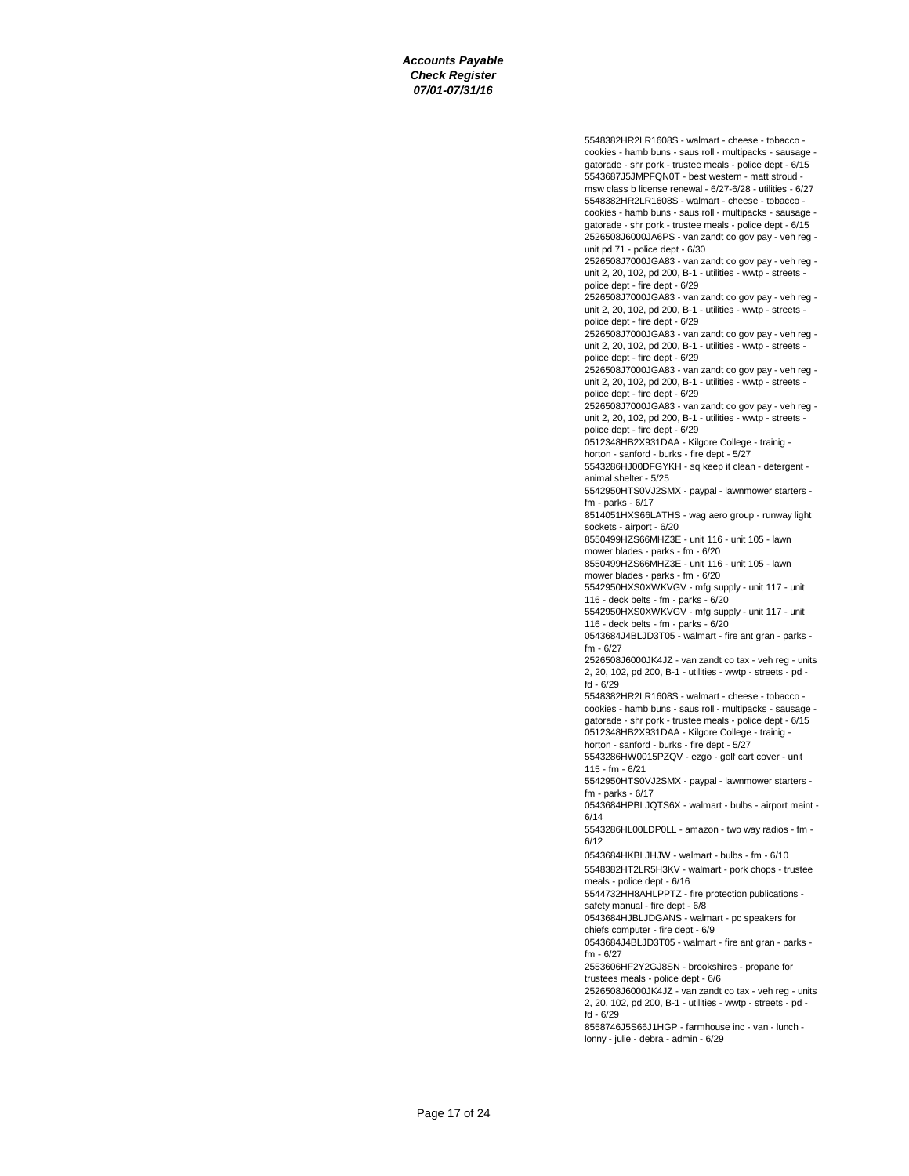> gatorade - shr pork - trustee meals - police dept - 6/15 5543687J5JMPFQN0T - best western - matt stroud msw class b license renewal - 6/27-6/28 - utilities - 6/27 5548382HR2LR1608S - walmart - cheese - tobacco cookies - hamb buns - saus roll - multipacks - sausage gatorade - shr pork - trustee meals - police dept - 6/15 2526508J6000JA6PS - van zandt co gov pay - veh reg unit pd 71 - police dept - 6/30 2526508J7000JGA83 - van zandt co gov pay - veh reg unit 2, 20, 102, pd 200, B-1 - utilities - wwtp - streets police dept - fire dept - 6/29 2526508J7000JGA83 - van zandt co gov pay - veh reg unit 2, 20, 102, pd 200, B-1 - utilities - wwtp - streets police dept - fire dept - 6/29 2526508J7000JGA83 - van zandt co gov pay - veh reg unit 2, 20, 102, pd 200, B-1 - utilities - wwtp - streets police dept - fire dept - 6/29 2526508J7000JGA83 - van zandt co gov pay - veh reg unit 2, 20, 102, pd 200, B-1 - utilities - wwtp - streets police dept - fire dept - 6/29 2526508J7000JGA83 - van zandt co gov pay - veh reg unit 2, 20, 102, pd 200, B-1 - utilities - wwtp - streets police dept - fire dept - 6/29 0512348HB2X931DAA - Kilgore College - trainig horton - sanford - burks - fire dept - 5/27 5543286HJ00DFGYKH - sq keep it clean - detergent animal shelter - 5/25 5542950HTS0VJ2SMX - paypal - lawnmower starters fm - parks - 6/17 8514051HXS66LATHS - wag aero group - runway light sockets - airport - 6/20 8550499HZS66MHZ3E - unit 116 - unit 105 - lawn mower blades - parks - fm - 6/20 8550499HZS66MHZ3E - unit 116 - unit 105 - lawn mower blades - parks - fm - 6/20 5542950HXS0XWKVGV - mfg supply - unit 117 - unit 116 - deck belts - fm - parks - 6/20 5542950HXS0XWKVGV - mfg supply - unit 117 - unit 116 - deck belts - fm - parks - 6/20 0543684J4BLJD3T05 - walmart - fire ant gran - parks fm - 6/27 2526508J6000JK4JZ - van zandt co tax - veh reg - units 2, 20, 102, pd 200, B-1 - utilities - wwtp - streets - pd fd - 6/29 5548382HR2LR1608S - walmart - cheese - tobacco cookies - hamb buns - saus roll - multipacks - sausage gatorade - shr pork - trustee meals - police dept - 6/15 0512348HB2X931DAA - Kilgore College - trainig horton - sanford - burks - fire dept - 5/27 5543286HW0015PZQV - ezgo - golf cart cover - unit 115 - fm - 6/21 5542950HTS0VJ2SMX - paypal - lawnmower starters fm - parks - 6/17 0543684HPBLJQTS6X - walmart - bulbs - airport maint - 6/14 5543286HL00LDP0LL - amazon - two way radios - fm - 6/12 0543684HKBLJHJW - walmart - bulbs - fm - 6/10 5548382HT2LR5H3KV - walmart - pork chops - trustee meals - police dept - 6/16 5544732HH8AHLPPTZ - fire protection publications safety manual - fire dept - 6/8 0543684HJBLJDGANS - walmart - pc speakers for chiefs computer - fire dept - 6/9 0543684J4BLJD3T05 - walmart - fire ant gran - parks fm - 6/27 2553606HF2Y2GJ8SN - brookshires - propane for trustees meals - police dept - 6/6 2526508J6000JK4JZ - van zandt co tax - veh reg - units 2, 20, 102, pd 200, B-1 - utilities - wwtp - streets - pd fd - 6/29 8558746J5S66J1HGP - farmhouse inc - van - lunch lonny - julie - debra - admin - 6/29

5548382HR2LR1608S - walmart - cheese - tobacco cookies - hamb buns - saus roll - multipacks - sausage -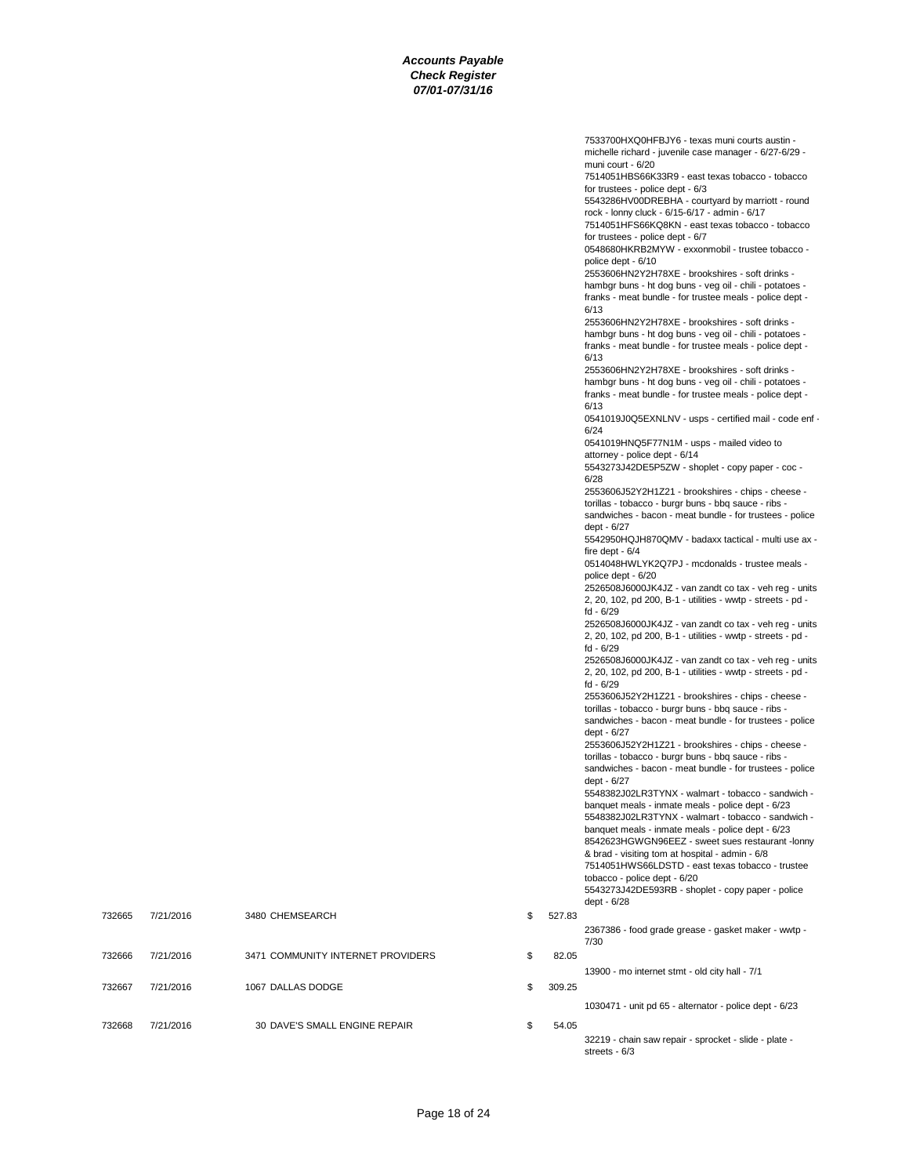|        |           |                                   |              | 7533700HXQ0HFBJY6 - texas muni courts austin -                                                                        |
|--------|-----------|-----------------------------------|--------------|-----------------------------------------------------------------------------------------------------------------------|
|        |           |                                   |              | michelle richard - juvenile case manager - 6/27-6/29 -<br>muni court - 6/20                                           |
|        |           |                                   |              | 7514051HBS66K33R9 - east texas tobacco - tobacco                                                                      |
|        |           |                                   |              | for trustees - police dept - 6/3                                                                                      |
|        |           |                                   |              | 5543286HV00DREBHA - courtyard by marriott - round<br>rock - Ionny cluck - 6/15-6/17 - admin - 6/17                    |
|        |           |                                   |              | 7514051HFS66KQ8KN - east texas tobacco - tobacco                                                                      |
|        |           |                                   |              | for trustees - police dept - 6/7                                                                                      |
|        |           |                                   |              | 0548680HKRB2MYW - exxonmobil - trustee tobacco -                                                                      |
|        |           |                                   |              | police dept - 6/10<br>2553606HN2Y2H78XE - brookshires - soft drinks -                                                 |
|        |           |                                   |              | hambgr buns - ht dog buns - veg oil - chili - potatoes -                                                              |
|        |           |                                   |              | franks - meat bundle - for trustee meals - police dept -<br>6/13                                                      |
|        |           |                                   |              | 2553606HN2Y2H78XE - brookshires - soft drinks -                                                                       |
|        |           |                                   |              | hambgr buns - ht dog buns - veg oil - chili - potatoes -                                                              |
|        |           |                                   |              | franks - meat bundle - for trustee meals - police dept -<br>6/13                                                      |
|        |           |                                   |              | 2553606HN2Y2H78XE - brookshires - soft drinks -                                                                       |
|        |           |                                   |              | hambgr buns - ht dog buns - veg oil - chili - potatoes -                                                              |
|        |           |                                   |              | franks - meat bundle - for trustee meals - police dept -                                                              |
|        |           |                                   |              | 6/13<br>0541019J0Q5EXNLNV - usps - certified mail - code enf -                                                        |
|        |           |                                   |              | 6/24                                                                                                                  |
|        |           |                                   |              | 0541019HNQ5F77N1M - usps - mailed video to                                                                            |
|        |           |                                   |              | attorney - police dept - 6/14<br>5543273J42DE5P5ZW - shoplet - copy paper - coc -                                     |
|        |           |                                   |              | 6/28                                                                                                                  |
|        |           |                                   |              | 2553606J52Y2H1Z21 - brookshires - chips - cheese -                                                                    |
|        |           |                                   |              | torillas - tobacco - burgr buns - bbq sauce - ribs -<br>sandwiches - bacon - meat bundle - for trustees - police      |
|        |           |                                   |              | dept - 6/27                                                                                                           |
|        |           |                                   |              | 5542950HQJH870QMV - badaxx tactical - multi use ax -                                                                  |
|        |           |                                   |              | fire dept - $6/4$<br>0514048HWLYK2Q7PJ - mcdonalds - trustee meals -                                                  |
|        |           |                                   |              | police dept - 6/20                                                                                                    |
|        |           |                                   |              | 2526508J6000JK4JZ - van zandt co tax - veh reg - units                                                                |
|        |           |                                   |              | 2, 20, 102, pd 200, B-1 - utilities - wwtp - streets - pd -                                                           |
|        |           |                                   |              | fd - 6/29<br>2526508J6000JK4JZ - van zandt co tax - veh reg - units                                                   |
|        |           |                                   |              | 2, 20, 102, pd 200, B-1 - utilities - wwtp - streets - pd -                                                           |
|        |           |                                   |              | fd - 6/29                                                                                                             |
|        |           |                                   |              | 2526508J6000JK4JZ - van zandt co tax - veh reg - units<br>2, 20, 102, pd 200, B-1 - utilities - wwtp - streets - pd - |
|        |           |                                   |              | fd - 6/29                                                                                                             |
|        |           |                                   |              | 2553606J52Y2H1Z21 - brookshires - chips - cheese -                                                                    |
|        |           |                                   |              | torillas - tobacco - burgr buns - bbg sauce - ribs -<br>sandwiches - bacon - meat bundle - for trustees - police      |
|        |           |                                   |              | dept - 6/27                                                                                                           |
|        |           |                                   |              | 2553606J52Y2H1Z21 - brookshires - chips - cheese -                                                                    |
|        |           |                                   |              | torillas - tobacco - burgr buns - bbq sauce - ribs -<br>sandwiches - bacon - meat bundle - for trustees - police      |
|        |           |                                   |              | dept - 6/27                                                                                                           |
|        |           |                                   |              | 5548382J02LR3TYNX - walmart - tobacco - sandwich -                                                                    |
|        |           |                                   |              | banquet meals - inmate meals - police dept - 6/23                                                                     |
|        |           |                                   |              | 5548382J02LR3TYNX - walmart - tobacco - sandwich -<br>banquet meals - inmate meals - police dept - 6/23               |
|        |           |                                   |              | 8542623HGWGN96EEZ - sweet sues restaurant -lonny                                                                      |
|        |           |                                   |              | & brad - visiting tom at hospital - admin - 6/8                                                                       |
|        |           |                                   |              | 7514051HWS66LDSTD - east texas tobacco - trustee<br>tobacco - police dept - 6/20                                      |
|        |           |                                   |              | 5543273J42DE593RB - shoplet - copy paper - police                                                                     |
|        |           |                                   |              | dept - 6/28                                                                                                           |
| 732665 | 7/21/2016 | 3480 CHEMSEARCH                   | \$<br>527.83 |                                                                                                                       |
|        |           |                                   |              | 2367386 - food grade grease - gasket maker - wwtp -<br>7/30                                                           |
| 732666 | 7/21/2016 | 3471 COMMUNITY INTERNET PROVIDERS | \$<br>82.05  |                                                                                                                       |
|        |           |                                   |              | 13900 - mo internet stmt - old city hall - 7/1                                                                        |
| 732667 | 7/21/2016 | 1067 DALLAS DODGE                 | \$<br>309.25 |                                                                                                                       |
|        |           |                                   |              | 1030471 - unit pd 65 - alternator - police dept - 6/23                                                                |
|        |           |                                   |              |                                                                                                                       |
| 732668 | 7/21/2016 | 30 DAVE'S SMALL ENGINE REPAIR     | \$<br>54.05  |                                                                                                                       |
|        |           |                                   |              | 32219 - chain saw repair - sprocket - slide - plate -<br>streets - $6/3$                                              |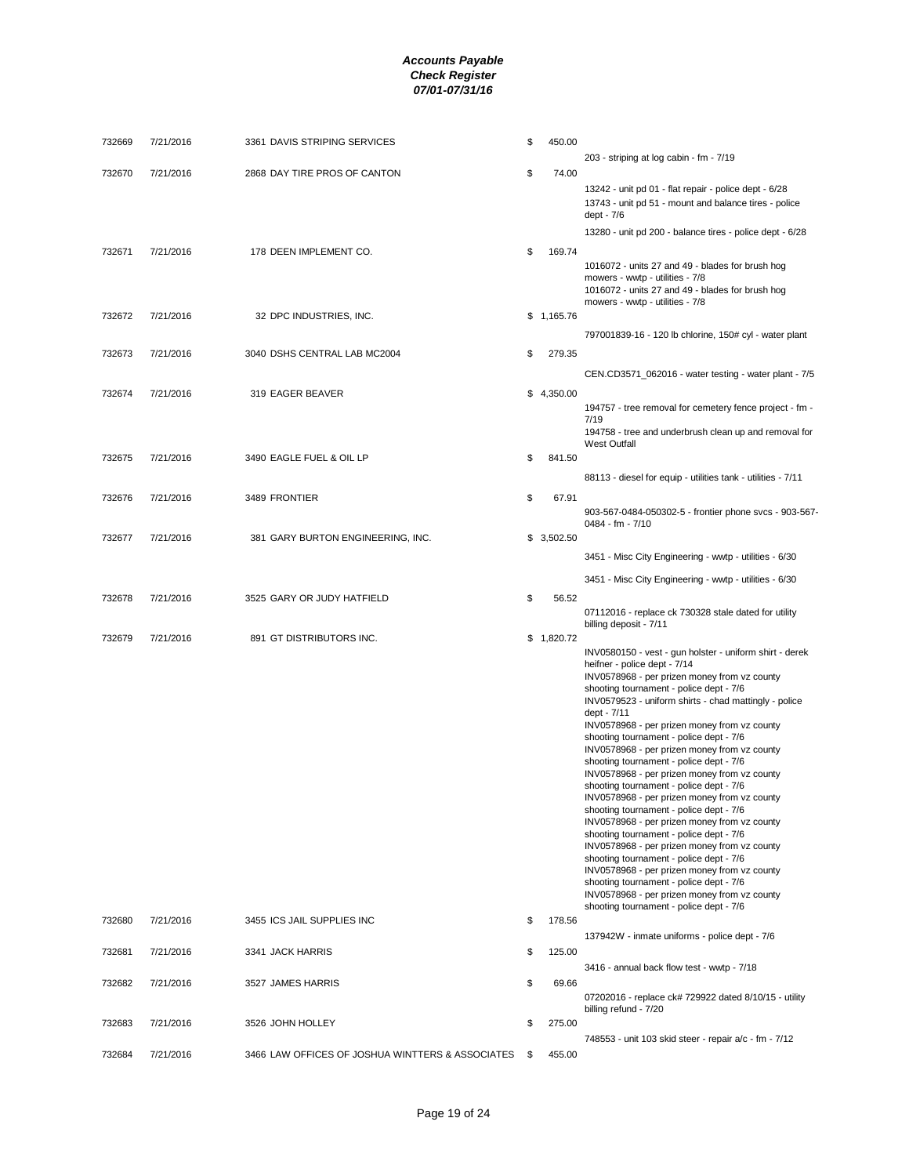| 732669 | 7/21/2016 | 3361 DAVIS STRIPING SERVICES      | \$<br>450.00 |                                                                                                                                                                                                                                                                                                                                                                                                                                                                                                                                                                                                                                        |
|--------|-----------|-----------------------------------|--------------|----------------------------------------------------------------------------------------------------------------------------------------------------------------------------------------------------------------------------------------------------------------------------------------------------------------------------------------------------------------------------------------------------------------------------------------------------------------------------------------------------------------------------------------------------------------------------------------------------------------------------------------|
| 732670 | 7/21/2016 | 2868 DAY TIRE PROS OF CANTON      | \$<br>74.00  | 203 - striping at log cabin - fm - 7/19                                                                                                                                                                                                                                                                                                                                                                                                                                                                                                                                                                                                |
|        |           |                                   |              | 13242 - unit pd 01 - flat repair - police dept - 6/28<br>13743 - unit pd 51 - mount and balance tires - police<br>dept - 7/6                                                                                                                                                                                                                                                                                                                                                                                                                                                                                                           |
|        |           |                                   |              | 13280 - unit pd 200 - balance tires - police dept - 6/28                                                                                                                                                                                                                                                                                                                                                                                                                                                                                                                                                                               |
| 732671 | 7/21/2016 | 178 DEEN IMPLEMENT CO.            | \$<br>169.74 | 1016072 - units 27 and 49 - blades for brush hog<br>mowers - wwtp - utilities - 7/8<br>1016072 - units 27 and 49 - blades for brush hog<br>mowers - wwtp - utilities - 7/8                                                                                                                                                                                                                                                                                                                                                                                                                                                             |
| 732672 | 7/21/2016 | 32 DPC INDUSTRIES, INC.           | \$1,165.76   |                                                                                                                                                                                                                                                                                                                                                                                                                                                                                                                                                                                                                                        |
|        |           |                                   |              | 797001839-16 - 120 lb chlorine, 150# cyl - water plant                                                                                                                                                                                                                                                                                                                                                                                                                                                                                                                                                                                 |
| 732673 | 7/21/2016 | 3040 DSHS CENTRAL LAB MC2004      | \$<br>279.35 | CEN.CD3571_062016 - water testing - water plant - 7/5                                                                                                                                                                                                                                                                                                                                                                                                                                                                                                                                                                                  |
| 732674 | 7/21/2016 | 319 EAGER BEAVER                  | \$4,350.00   |                                                                                                                                                                                                                                                                                                                                                                                                                                                                                                                                                                                                                                        |
|        |           |                                   |              | 194757 - tree removal for cemetery fence project - fm -<br>7/19                                                                                                                                                                                                                                                                                                                                                                                                                                                                                                                                                                        |
|        |           |                                   |              | 194758 - tree and underbrush clean up and removal for<br><b>West Outfall</b>                                                                                                                                                                                                                                                                                                                                                                                                                                                                                                                                                           |
| 732675 | 7/21/2016 | 3490 EAGLE FUEL & OIL LP          | \$<br>841.50 |                                                                                                                                                                                                                                                                                                                                                                                                                                                                                                                                                                                                                                        |
|        |           |                                   |              | 88113 - diesel for equip - utilities tank - utilities - 7/11                                                                                                                                                                                                                                                                                                                                                                                                                                                                                                                                                                           |
| 732676 | 7/21/2016 | 3489 FRONTIER                     | \$<br>67.91  | 903-567-0484-050302-5 - frontier phone svcs - 903-567-                                                                                                                                                                                                                                                                                                                                                                                                                                                                                                                                                                                 |
|        | 7/21/2016 |                                   | \$3,502.50   | 0484 - fm - 7/10                                                                                                                                                                                                                                                                                                                                                                                                                                                                                                                                                                                                                       |
| 732677 |           | 381 GARY BURTON ENGINEERING, INC. |              | 3451 - Misc City Engineering - wwtp - utilities - 6/30                                                                                                                                                                                                                                                                                                                                                                                                                                                                                                                                                                                 |
|        |           |                                   |              | 3451 - Misc City Engineering - wwtp - utilities - 6/30                                                                                                                                                                                                                                                                                                                                                                                                                                                                                                                                                                                 |
| 732678 | 7/21/2016 | 3525 GARY OR JUDY HATFIELD        | \$<br>56.52  |                                                                                                                                                                                                                                                                                                                                                                                                                                                                                                                                                                                                                                        |
|        |           |                                   |              | 07112016 - replace ck 730328 stale dated for utility<br>billing deposit - 7/11                                                                                                                                                                                                                                                                                                                                                                                                                                                                                                                                                         |
| 732679 | 7/21/2016 | 891 GT DISTRIBUTORS INC.          | \$1,820.72   |                                                                                                                                                                                                                                                                                                                                                                                                                                                                                                                                                                                                                                        |
|        |           |                                   |              | INV0580150 - vest - gun holster - uniform shirt - derek<br>heifner - police dept - 7/14<br>INV0578968 - per prizen money from vz county<br>shooting tournament - police dept - 7/6<br>INV0579523 - uniform shirts - chad mattingly - police<br>dept - 7/11<br>INV0578968 - per prizen money from vz county<br>shooting tournament - police dept - 7/6<br>INV0578968 - per prizen money from vz county<br>shooting tournament - police dept - 7/6<br>INV0578968 - per prizen money from vz county<br>shooting tournament - police dept - 7/6<br>INV0578968 - per prizen money from vz county<br>shooting tournament - police dept - 7/6 |
|        |           |                                   |              | INV0578968 - per prizen money from vz county<br>shooting tournament - police dept - 7/6<br>INV0578968 - per prizen money from vz county<br>shooting tournament - police dept - 7/6<br>INV0578968 - per prizen money from vz county<br>shooting tournament - police dept - 7/6<br>INV0578968 - per prizen money from vz county                                                                                                                                                                                                                                                                                                          |
| 732680 | 7/21/2016 | 3455 ICS JAIL SUPPLIES INC        | \$<br>178.56 | shooting tournament - police dept - 7/6                                                                                                                                                                                                                                                                                                                                                                                                                                                                                                                                                                                                |
| 732681 | 7/21/2016 | 3341 JACK HARRIS                  | \$<br>125.00 | 137942W - inmate uniforms - police dept - 7/6                                                                                                                                                                                                                                                                                                                                                                                                                                                                                                                                                                                          |
|        |           |                                   |              | 3416 - annual back flow test - wwtp - 7/18                                                                                                                                                                                                                                                                                                                                                                                                                                                                                                                                                                                             |
| 732682 | 7/21/2016 | 3527 JAMES HARRIS                 | \$<br>69.66  | 07202016 - replace ck# 729922 dated 8/10/15 - utility                                                                                                                                                                                                                                                                                                                                                                                                                                                                                                                                                                                  |
| 732683 | 7/21/2016 | 3526 JOHN HOLLEY                  | \$<br>275.00 | billing refund - 7/20                                                                                                                                                                                                                                                                                                                                                                                                                                                                                                                                                                                                                  |
|        |           |                                   |              | 748553 - unit 103 skid steer - repair a/c - fm - 7/12                                                                                                                                                                                                                                                                                                                                                                                                                                                                                                                                                                                  |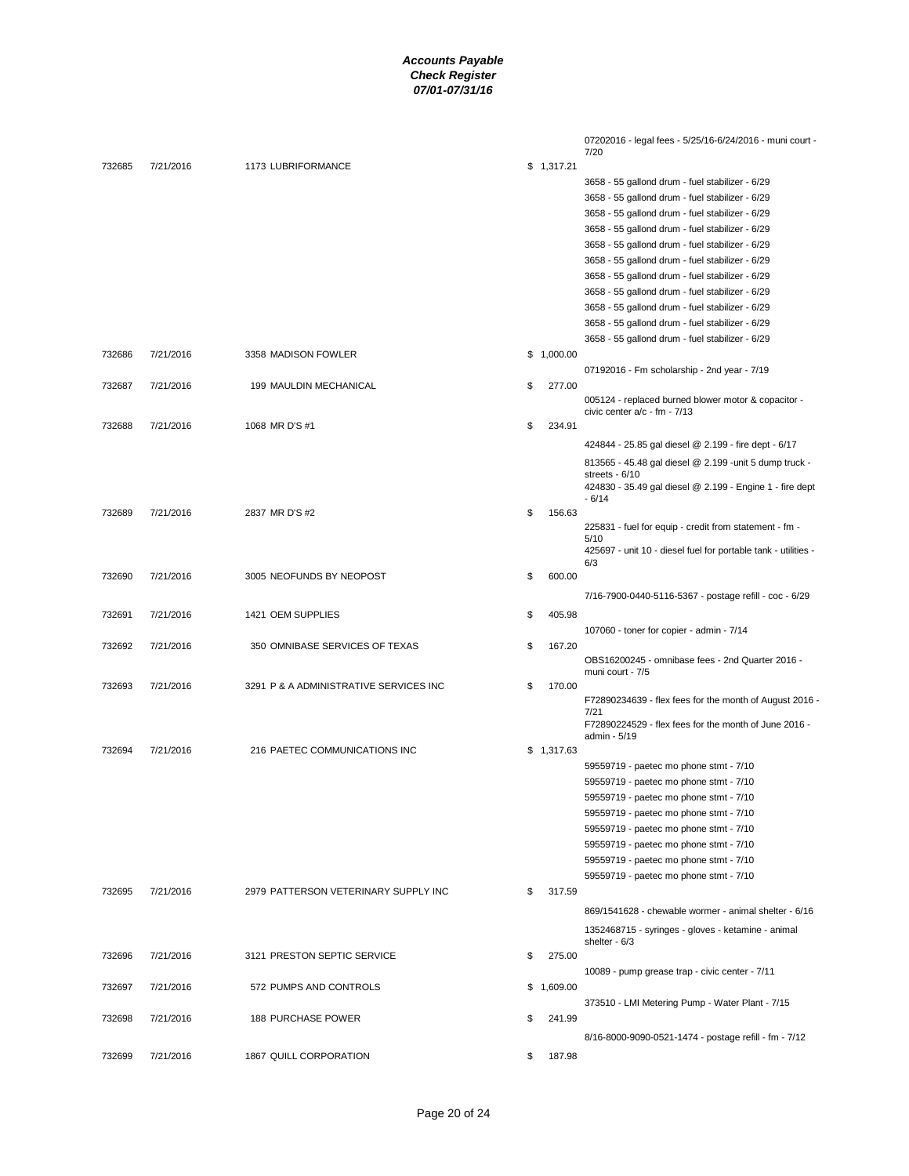|        |           |                                        |              | 07202016 - legal fees - 5/25/16-6/24/2016 - muni court -<br>7/20                    |
|--------|-----------|----------------------------------------|--------------|-------------------------------------------------------------------------------------|
| 732685 | 7/21/2016 | 1173 LUBRIFORMANCE                     | \$1,317.21   |                                                                                     |
|        |           |                                        |              | 3658 - 55 gallond drum - fuel stabilizer - 6/29                                     |
|        |           |                                        |              | 3658 - 55 gallond drum - fuel stabilizer - 6/29                                     |
|        |           |                                        |              | 3658 - 55 gallond drum - fuel stabilizer - 6/29                                     |
|        |           |                                        |              | 3658 - 55 gallond drum - fuel stabilizer - 6/29                                     |
|        |           |                                        |              | 3658 - 55 gallond drum - fuel stabilizer - 6/29                                     |
|        |           |                                        |              |                                                                                     |
|        |           |                                        |              | 3658 - 55 gallond drum - fuel stabilizer - 6/29                                     |
|        |           |                                        |              | 3658 - 55 gallond drum - fuel stabilizer - 6/29                                     |
|        |           |                                        |              | 3658 - 55 gallond drum - fuel stabilizer - 6/29                                     |
|        |           |                                        |              | 3658 - 55 gallond drum - fuel stabilizer - 6/29                                     |
|        |           |                                        |              | 3658 - 55 gallond drum - fuel stabilizer - 6/29                                     |
|        |           |                                        |              | 3658 - 55 gallond drum - fuel stabilizer - 6/29                                     |
| 732686 | 7/21/2016 | 3358 MADISON FOWLER                    | \$1,000.00   |                                                                                     |
|        |           |                                        |              | 07192016 - Fm scholarship - 2nd year - 7/19                                         |
| 732687 | 7/21/2016 | 199 MAULDIN MECHANICAL                 | \$<br>277.00 |                                                                                     |
|        |           |                                        |              | 005124 - replaced burned blower motor & copacitor -<br>civic center a/c - fm - 7/13 |
| 732688 | 7/21/2016 | 1068 MR D'S #1                         | \$<br>234.91 |                                                                                     |
|        |           |                                        |              | 424844 - 25.85 gal diesel @ 2.199 - fire dept - 6/17                                |
|        |           |                                        |              |                                                                                     |
|        |           |                                        |              | 813565 - 45.48 gal diesel @ 2.199 - unit 5 dump truck -<br>streets - 6/10           |
|        |           |                                        |              | 424830 - 35.49 gal diesel @ 2.199 - Engine 1 - fire dept                            |
|        |           |                                        |              | $-6/14$                                                                             |
| 732689 | 7/21/2016 | 2837 MR D'S #2                         | \$<br>156.63 |                                                                                     |
|        |           |                                        |              | 225831 - fuel for equip - credit from statement - fm -<br>5/10                      |
|        |           |                                        |              | 425697 - unit 10 - diesel fuel for portable tank - utilities -                      |
|        |           |                                        |              | 6/3                                                                                 |
| 732690 | 7/21/2016 | 3005 NEOFUNDS BY NEOPOST               | \$<br>600.00 |                                                                                     |
|        |           |                                        |              | 7/16-7900-0440-5116-5367 - postage refill - coc - 6/29                              |
| 732691 | 7/21/2016 | 1421 OEM SUPPLIES                      | \$<br>405.98 |                                                                                     |
|        |           |                                        |              | 107060 - toner for copier - admin - 7/14                                            |
| 732692 | 7/21/2016 | 350 OMNIBASE SERVICES OF TEXAS         | \$<br>167.20 |                                                                                     |
|        |           |                                        |              | OBS16200245 - omnibase fees - 2nd Quarter 2016 -                                    |
|        |           |                                        |              | muni court - 7/5                                                                    |
| 732693 | 7/21/2016 | 3291 P & A ADMINISTRATIVE SERVICES INC | \$<br>170.00 |                                                                                     |
|        |           |                                        |              | F72890234639 - flex fees for the month of August 2016 -                             |
|        |           |                                        |              | 7/21<br>F72890224529 - flex fees for the month of June 2016 -                       |
|        |           |                                        |              | admin - 5/19                                                                        |
| 732694 | 7/21/2016 | 216 PAETEC COMMUNICATIONS INC          | \$1,317.63   |                                                                                     |
|        |           |                                        |              | 59559719 - paetec mo phone stmt - 7/10                                              |
|        |           |                                        |              | 59559719 - paetec mo phone stmt - 7/10                                              |
|        |           |                                        |              | 59559719 - paetec mo phone stmt - 7/10                                              |
|        |           |                                        |              | 59559719 - paetec mo phone stmt - 7/10                                              |
|        |           |                                        |              | 59559719 - paetec mo phone stmt - 7/10                                              |
|        |           |                                        |              | 59559719 - paetec mo phone stmt - 7/10                                              |
|        |           |                                        |              | 59559719 - paetec mo phone stmt - 7/10                                              |
|        |           |                                        |              | 59559719 - paetec mo phone stmt - 7/10                                              |
| 732695 | 7/21/2016 | 2979 PATTERSON VETERINARY SUPPLY INC   | \$<br>317.59 |                                                                                     |
|        |           |                                        |              | 869/1541628 - chewable wormer - animal shelter - 6/16                               |
|        |           |                                        |              |                                                                                     |
|        |           |                                        |              | 1352468715 - syringes - gloves - ketamine - animal<br>shelter - $6/3$               |
| 732696 | 7/21/2016 | 3121 PRESTON SEPTIC SERVICE            | \$<br>275.00 |                                                                                     |
|        |           |                                        |              | 10089 - pump grease trap - civic center - 7/11                                      |
| 732697 | 7/21/2016 | 572 PUMPS AND CONTROLS                 | \$1,609.00   |                                                                                     |
|        |           |                                        |              | 373510 - LMI Metering Pump - Water Plant - 7/15                                     |
| 732698 | 7/21/2016 | 188 PURCHASE POWER                     | \$<br>241.99 |                                                                                     |
|        |           |                                        |              |                                                                                     |
|        |           |                                        |              | 8/16-8000-9090-0521-1474 - postage refill - fm - 7/12                               |
| 732699 | 7/21/2016 | 1867 QUILL CORPORATION                 | \$<br>187.98 |                                                                                     |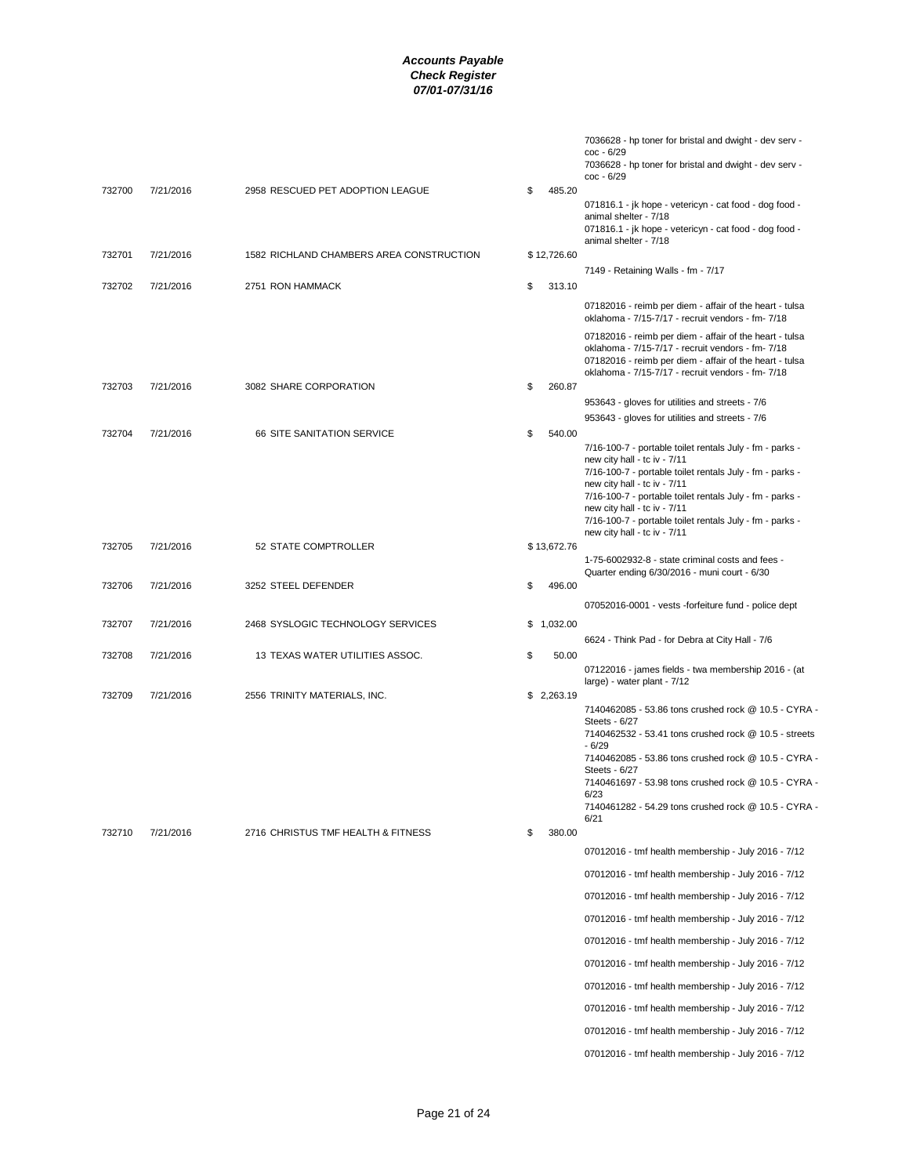|        |           |                                          |              | 7036628 - hp toner for bristal and dwight - dev serv -<br>coc - 6/29<br>7036628 - hp toner for bristal and dwight - dev serv -<br>coc - 6/29                                                                                                                                                                                                                                 |
|--------|-----------|------------------------------------------|--------------|------------------------------------------------------------------------------------------------------------------------------------------------------------------------------------------------------------------------------------------------------------------------------------------------------------------------------------------------------------------------------|
| 732700 | 7/21/2016 | 2958 RESCUED PET ADOPTION LEAGUE         | \$<br>485.20 | 071816.1 - jk hope - vetericyn - cat food - dog food -<br>animal shelter - 7/18<br>071816.1 - jk hope - vetericyn - cat food - dog food -<br>animal shelter - 7/18                                                                                                                                                                                                           |
| 732701 | 7/21/2016 | 1582 RICHLAND CHAMBERS AREA CONSTRUCTION | \$12,726.60  |                                                                                                                                                                                                                                                                                                                                                                              |
| 732702 | 7/21/2016 | 2751 RON HAMMACK                         | \$<br>313.10 | 7149 - Retaining Walls - fm - 7/17                                                                                                                                                                                                                                                                                                                                           |
|        |           |                                          |              | 07182016 - reimb per diem - affair of the heart - tulsa<br>oklahoma - 7/15-7/17 - recruit vendors - fm- 7/18                                                                                                                                                                                                                                                                 |
|        |           |                                          |              | 07182016 - reimb per diem - affair of the heart - tulsa<br>oklahoma - 7/15-7/17 - recruit vendors - fm- 7/18<br>07182016 - reimb per diem - affair of the heart - tulsa<br>oklahoma - 7/15-7/17 - recruit vendors - fm- 7/18                                                                                                                                                 |
| 732703 | 7/21/2016 | 3082 SHARE CORPORATION                   | \$<br>260.87 | 953643 - gloves for utilities and streets - 7/6                                                                                                                                                                                                                                                                                                                              |
|        |           |                                          |              | 953643 - gloves for utilities and streets - 7/6                                                                                                                                                                                                                                                                                                                              |
| 732704 | 7/21/2016 | 66 SITE SANITATION SERVICE               | \$<br>540.00 |                                                                                                                                                                                                                                                                                                                                                                              |
|        |           |                                          |              | 7/16-100-7 - portable toilet rentals July - fm - parks -<br>new city hall - tc iv - 7/11<br>7/16-100-7 - portable toilet rentals July - fm - parks -<br>new city hall - tc iv - 7/11<br>7/16-100-7 - portable toilet rentals July - fm - parks -<br>new city hall - tc iv - 7/11<br>7/16-100-7 - portable toilet rentals July - fm - parks -<br>new city hall - tc iv - 7/11 |
| 732705 | 7/21/2016 | 52 STATE COMPTROLLER                     | \$13,672.76  | 1-75-6002932-8 - state criminal costs and fees -                                                                                                                                                                                                                                                                                                                             |
|        |           |                                          |              | Quarter ending 6/30/2016 - muni court - 6/30                                                                                                                                                                                                                                                                                                                                 |
| 732706 | 7/21/2016 | 3252 STEEL DEFENDER                      | \$<br>496.00 |                                                                                                                                                                                                                                                                                                                                                                              |
|        |           |                                          |              | 07052016-0001 - vests -forfeiture fund - police dept                                                                                                                                                                                                                                                                                                                         |
| 732707 | 7/21/2016 | 2468 SYSLOGIC TECHNOLOGY SERVICES        | \$1,032.00   | 6624 - Think Pad - for Debra at City Hall - 7/6                                                                                                                                                                                                                                                                                                                              |
| 732708 | 7/21/2016 | 13 TEXAS WATER UTILITIES ASSOC.          | \$<br>50.00  |                                                                                                                                                                                                                                                                                                                                                                              |
|        |           |                                          |              | 07122016 - james fields - twa membership 2016 - (at<br>large) - water plant - 7/12                                                                                                                                                                                                                                                                                           |
| 732709 | 7/21/2016 | 2556 TRINITY MATERIALS, INC.             | \$2,263.19   |                                                                                                                                                                                                                                                                                                                                                                              |
|        |           |                                          |              | 7140462085 - 53.86 tons crushed rock @ 10.5 - CYRA -<br>Steets - 6/27<br>7140462532 - 53.41 tons crushed rock @ 10.5 - streets                                                                                                                                                                                                                                               |
|        |           |                                          |              | $-6/29$<br>7140462085 - 53.86 tons crushed rock @ 10.5 - CYRA -                                                                                                                                                                                                                                                                                                              |
|        |           |                                          |              | Steets - 6/27                                                                                                                                                                                                                                                                                                                                                                |
|        |           |                                          |              | 7140461697 - 53.98 tons crushed rock @ 10.5 - CYRA -<br>6/23                                                                                                                                                                                                                                                                                                                 |
|        |           |                                          |              | 7140461282 - 54.29 tons crushed rock @ 10.5 - CYRA -<br>6/21                                                                                                                                                                                                                                                                                                                 |
| 732710 | 7/21/2016 | 2716 CHRISTUS TMF HEALTH & FITNESS       | \$<br>380.00 |                                                                                                                                                                                                                                                                                                                                                                              |
|        |           |                                          |              | 07012016 - tmf health membership - July 2016 - 7/12                                                                                                                                                                                                                                                                                                                          |
|        |           |                                          |              | 07012016 - tmf health membership - July 2016 - 7/12                                                                                                                                                                                                                                                                                                                          |
|        |           |                                          |              | 07012016 - tmf health membership - July 2016 - 7/12                                                                                                                                                                                                                                                                                                                          |
|        |           |                                          |              | 07012016 - tmf health membership - July 2016 - 7/12                                                                                                                                                                                                                                                                                                                          |
|        |           |                                          |              | 07012016 - tmf health membership - July 2016 - 7/12                                                                                                                                                                                                                                                                                                                          |
|        |           |                                          |              | 07012016 - tmf health membership - July 2016 - 7/12                                                                                                                                                                                                                                                                                                                          |
|        |           |                                          |              | 07012016 - tmf health membership - July 2016 - 7/12                                                                                                                                                                                                                                                                                                                          |
|        |           |                                          |              | 07012016 - tmf health membership - July 2016 - 7/12                                                                                                                                                                                                                                                                                                                          |
|        |           |                                          |              | 07012016 - tmf health membership - July 2016 - 7/12                                                                                                                                                                                                                                                                                                                          |
|        |           |                                          |              | 07012016 - tmf health membership - July 2016 - 7/12                                                                                                                                                                                                                                                                                                                          |
|        |           |                                          |              |                                                                                                                                                                                                                                                                                                                                                                              |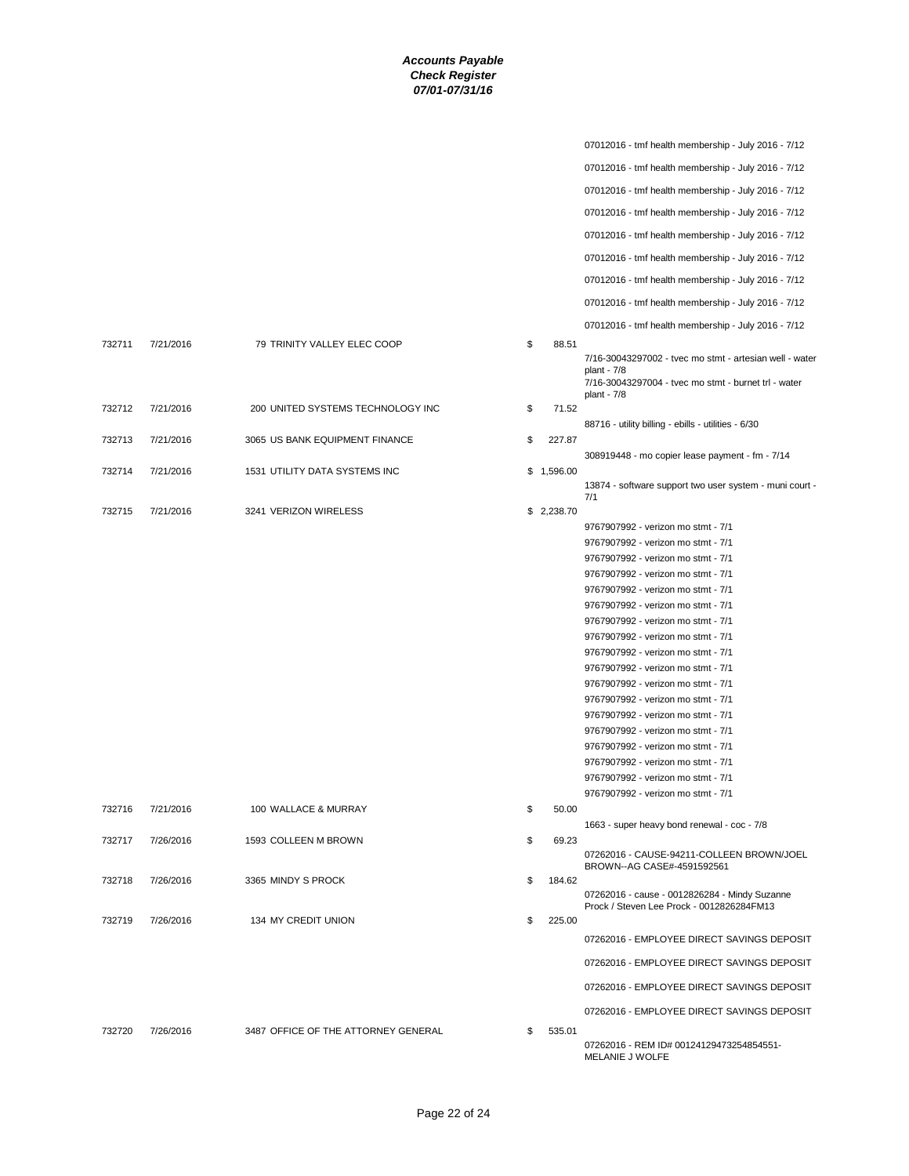|        |           |                                     |              | 07012016 - tmf health membership - July 2016 - 7/12                      |
|--------|-----------|-------------------------------------|--------------|--------------------------------------------------------------------------|
|        |           |                                     |              | 07012016 - tmf health membership - July 2016 - 7/12                      |
|        |           |                                     |              | 07012016 - tmf health membership - July 2016 - 7/12                      |
|        |           |                                     |              |                                                                          |
|        |           |                                     |              | 07012016 - tmf health membership - July 2016 - 7/12                      |
|        |           |                                     |              | 07012016 - tmf health membership - July 2016 - 7/12                      |
|        |           |                                     |              | 07012016 - tmf health membership - July 2016 - 7/12                      |
|        |           |                                     |              | 07012016 - tmf health membership - July 2016 - 7/12                      |
|        |           |                                     |              | 07012016 - tmf health membership - July 2016 - 7/12                      |
|        |           |                                     |              |                                                                          |
|        |           |                                     |              | 07012016 - tmf health membership - July 2016 - 7/12                      |
| 732711 | 7/21/2016 | 79 TRINITY VALLEY ELEC COOP         | \$<br>88.51  | 7/16-30043297002 - tvec mo stmt - artesian well - water                  |
|        |           |                                     |              | plant - 7/8                                                              |
|        |           |                                     |              | 7/16-30043297004 - tvec mo stmt - burnet trl - water<br>plant - 7/8      |
| 732712 | 7/21/2016 | 200 UNITED SYSTEMS TECHNOLOGY INC   | \$<br>71.52  |                                                                          |
|        |           |                                     |              | 88716 - utility billing - ebills - utilities - 6/30                      |
| 732713 | 7/21/2016 | 3065 US BANK EQUIPMENT FINANCE      | \$<br>227.87 |                                                                          |
|        |           |                                     |              | 308919448 - mo copier lease payment - fm - 7/14                          |
| 732714 | 7/21/2016 | 1531 UTILITY DATA SYSTEMS INC       | \$1,596.00   | 13874 - software support two user system - muni court -                  |
|        |           |                                     |              | 7/1                                                                      |
| 732715 | 7/21/2016 | 3241 VERIZON WIRELESS               | \$2,238.70   |                                                                          |
|        |           |                                     |              | 9767907992 - verizon mo stmt - 7/1                                       |
|        |           |                                     |              | 9767907992 - verizon mo stmt - 7/1                                       |
|        |           |                                     |              | 9767907992 - verizon mo stmt - 7/1                                       |
|        |           |                                     |              | 9767907992 - verizon mo stmt - 7/1                                       |
|        |           |                                     |              | 9767907992 - verizon mo stmt - 7/1                                       |
|        |           |                                     |              | 9767907992 - verizon mo stmt - 7/1                                       |
|        |           |                                     |              | 9767907992 - verizon mo stmt - 7/1<br>9767907992 - verizon mo stmt - 7/1 |
|        |           |                                     |              | 9767907992 - verizon mo stmt - 7/1                                       |
|        |           |                                     |              | 9767907992 - verizon mo stmt - 7/1                                       |
|        |           |                                     |              | 9767907992 - verizon mo stmt - 7/1                                       |
|        |           |                                     |              | 9767907992 - verizon mo stmt - 7/1                                       |
|        |           |                                     |              | 9767907992 - verizon mo stmt - 7/1                                       |
|        |           |                                     |              | 9767907992 - verizon mo stmt - 7/1                                       |
|        |           |                                     |              | 9767907992 - verizon mo stmt - 7/1                                       |
|        |           |                                     |              | 9767907992 - verizon mo stmt - 7/1                                       |
|        |           |                                     |              | 9767907992 - verizon mo stmt - 7/1                                       |
|        |           |                                     |              | 9767907992 - verizon mo stmt - 7/1                                       |
| 732716 | 7/21/2016 | 100 WALLACE & MURRAY                | \$<br>50.00  |                                                                          |
|        |           |                                     |              | 1663 - super heavy bond renewal - coc - 7/8                              |
| 732717 | 7/26/2016 | 1593 COLLEEN M BROWN                | \$<br>69.23  |                                                                          |
|        |           |                                     |              | 07262016 - CAUSE-94211-COLLEEN BROWN/JOEL<br>BROWN--AG CASE#-4591592561  |
| 732718 | 7/26/2016 | 3365 MINDY S PROCK                  | \$<br>184.62 |                                                                          |
|        |           |                                     |              | 07262016 - cause - 0012826284 - Mindy Suzanne                            |
|        | 7/26/2016 | 134 MY CREDIT UNION                 | \$<br>225.00 | Prock / Steven Lee Prock - 0012826284FM13                                |
| 732719 |           |                                     |              |                                                                          |
|        |           |                                     |              | 07262016 - EMPLOYEE DIRECT SAVINGS DEPOSIT                               |
|        |           |                                     |              | 07262016 - EMPLOYEE DIRECT SAVINGS DEPOSIT                               |
|        |           |                                     |              | 07262016 - EMPLOYEE DIRECT SAVINGS DEPOSIT                               |
|        |           |                                     |              | 07262016 - EMPLOYEE DIRECT SAVINGS DEPOSIT                               |
|        |           |                                     |              |                                                                          |
| 732720 | 7/26/2016 | 3487 OFFICE OF THE ATTORNEY GENERAL | \$<br>535.01 | 07262016 - REM ID# 00124129473254854551-                                 |
|        |           |                                     |              | MELANIE J WOLFE                                                          |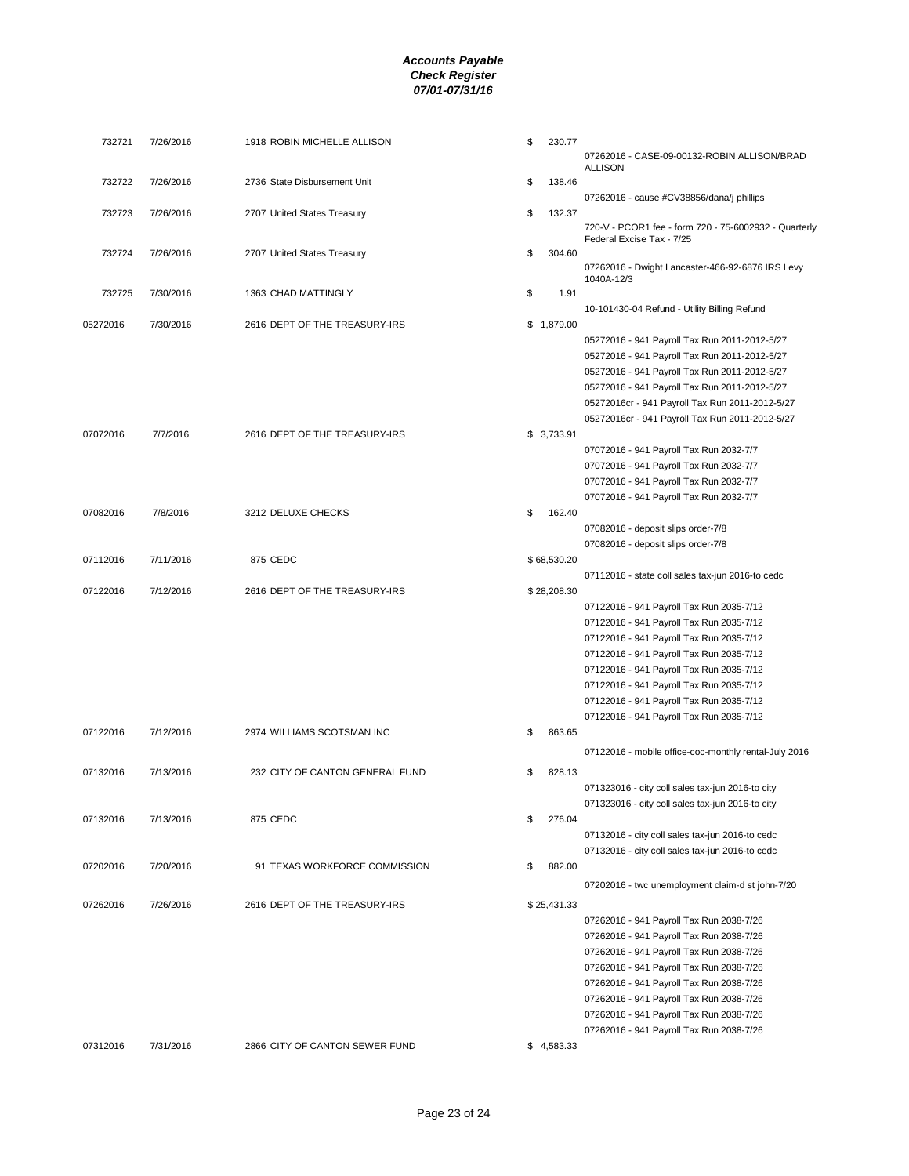| 732721   | 7/26/2016 | 1918 ROBIN MICHELLE ALLISON     | \$<br>230.77   | 07262016 - CASE-09-00132-ROBIN ALLISON/BRAD                                          |
|----------|-----------|---------------------------------|----------------|--------------------------------------------------------------------------------------|
|          |           |                                 |                | <b>ALLISON</b>                                                                       |
| 732722   | 7/26/2016 | 2736 State Disbursement Unit    | \$<br>138.46   |                                                                                      |
|          |           |                                 |                | 07262016 - cause #CV38856/dana/j phillips                                            |
| 732723   | 7/26/2016 | 2707 United States Treasury     | \$<br>132.37   | 720-V - PCOR1 fee - form 720 - 75-6002932 - Quarterly                                |
|          |           |                                 |                | Federal Excise Tax - 7/25                                                            |
| 732724   | 7/26/2016 | 2707 United States Treasury     | \$<br>304.60   |                                                                                      |
|          |           |                                 |                | 07262016 - Dwight Lancaster-466-92-6876 IRS Levy<br>1040A-12/3                       |
| 732725   | 7/30/2016 | 1363 CHAD MATTINGLY             | \$<br>1.91     |                                                                                      |
|          |           |                                 |                | 10-101430-04 Refund - Utility Billing Refund                                         |
| 05272016 | 7/30/2016 | 2616 DEPT OF THE TREASURY-IRS   | \$<br>1,879.00 |                                                                                      |
|          |           |                                 |                | 05272016 - 941 Payroll Tax Run 2011-2012-5/27                                        |
|          |           |                                 |                | 05272016 - 941 Payroll Tax Run 2011-2012-5/27                                        |
|          |           |                                 |                | 05272016 - 941 Payroll Tax Run 2011-2012-5/27                                        |
|          |           |                                 |                | 05272016 - 941 Payroll Tax Run 2011-2012-5/27                                        |
|          |           |                                 |                | 05272016cr - 941 Payroll Tax Run 2011-2012-5/27                                      |
|          |           |                                 |                | 05272016cr - 941 Payroll Tax Run 2011-2012-5/27                                      |
| 07072016 | 7/7/2016  | 2616 DEPT OF THE TREASURY-IRS   | \$3,733.91     |                                                                                      |
|          |           |                                 |                | 07072016 - 941 Payroll Tax Run 2032-7/7<br>07072016 - 941 Payroll Tax Run 2032-7/7   |
|          |           |                                 |                | 07072016 - 941 Payroll Tax Run 2032-7/7                                              |
|          |           |                                 |                | 07072016 - 941 Payroll Tax Run 2032-7/7                                              |
| 07082016 | 7/8/2016  | 3212 DELUXE CHECKS              | \$<br>162.40   |                                                                                      |
|          |           |                                 |                | 07082016 - deposit slips order-7/8                                                   |
|          |           |                                 |                | 07082016 - deposit slips order-7/8                                                   |
| 07112016 | 7/11/2016 | 875 CEDC                        | \$68,530.20    |                                                                                      |
|          |           |                                 |                | 07112016 - state coll sales tax-jun 2016-to cedc                                     |
| 07122016 | 7/12/2016 | 2616 DEPT OF THE TREASURY-IRS   | \$28,208.30    |                                                                                      |
|          |           |                                 |                | 07122016 - 941 Payroll Tax Run 2035-7/12                                             |
|          |           |                                 |                | 07122016 - 941 Payroll Tax Run 2035-7/12                                             |
|          |           |                                 |                | 07122016 - 941 Payroll Tax Run 2035-7/12                                             |
|          |           |                                 |                | 07122016 - 941 Payroll Tax Run 2035-7/12                                             |
|          |           |                                 |                | 07122016 - 941 Payroll Tax Run 2035-7/12<br>07122016 - 941 Payroll Tax Run 2035-7/12 |
|          |           |                                 |                | 07122016 - 941 Payroll Tax Run 2035-7/12                                             |
|          |           |                                 |                | 07122016 - 941 Payroll Tax Run 2035-7/12                                             |
| 07122016 | 7/12/2016 | 2974 WILLIAMS SCOTSMAN INC      | \$<br>863.65   |                                                                                      |
|          |           |                                 |                | 07122016 - mobile office-coc-monthly rental-July 2016                                |
| 07132016 | 7/13/2016 | 232 CITY OF CANTON GENERAL FUND | \$<br>828.13   |                                                                                      |
|          |           |                                 |                | 071323016 - city coll sales tax-jun 2016-to city                                     |
|          |           |                                 |                | 071323016 - city coll sales tax-jun 2016-to city                                     |
| 07132016 | 7/13/2016 | 875 CEDC                        | \$<br>276.04   |                                                                                      |
|          |           |                                 |                | 07132016 - city coll sales tax-jun 2016-to cedc                                      |
|          |           |                                 |                | 07132016 - city coll sales tax-jun 2016-to cedc                                      |
| 07202016 | 7/20/2016 | 91 TEXAS WORKFORCE COMMISSION   | \$<br>882.00   |                                                                                      |
|          |           |                                 |                | 07202016 - twc unemployment claim-d st john-7/20                                     |
| 07262016 | 7/26/2016 | 2616 DEPT OF THE TREASURY-IRS   | \$25,431.33    |                                                                                      |
|          |           |                                 |                | 07262016 - 941 Payroll Tax Run 2038-7/26                                             |
|          |           |                                 |                | 07262016 - 941 Payroll Tax Run 2038-7/26                                             |
|          |           |                                 |                | 07262016 - 941 Payroll Tax Run 2038-7/26                                             |
|          |           |                                 |                | 07262016 - 941 Payroll Tax Run 2038-7/26                                             |
|          |           |                                 |                | 07262016 - 941 Payroll Tax Run 2038-7/26                                             |
|          |           |                                 |                | 07262016 - 941 Payroll Tax Run 2038-7/26                                             |
|          |           |                                 |                | 07262016 - 941 Payroll Tax Run 2038-7/26                                             |
| 07312016 | 7/31/2016 | 2866 CITY OF CANTON SEWER FUND  | \$4,583.33     | 07262016 - 941 Payroll Tax Run 2038-7/26                                             |
|          |           |                                 |                |                                                                                      |